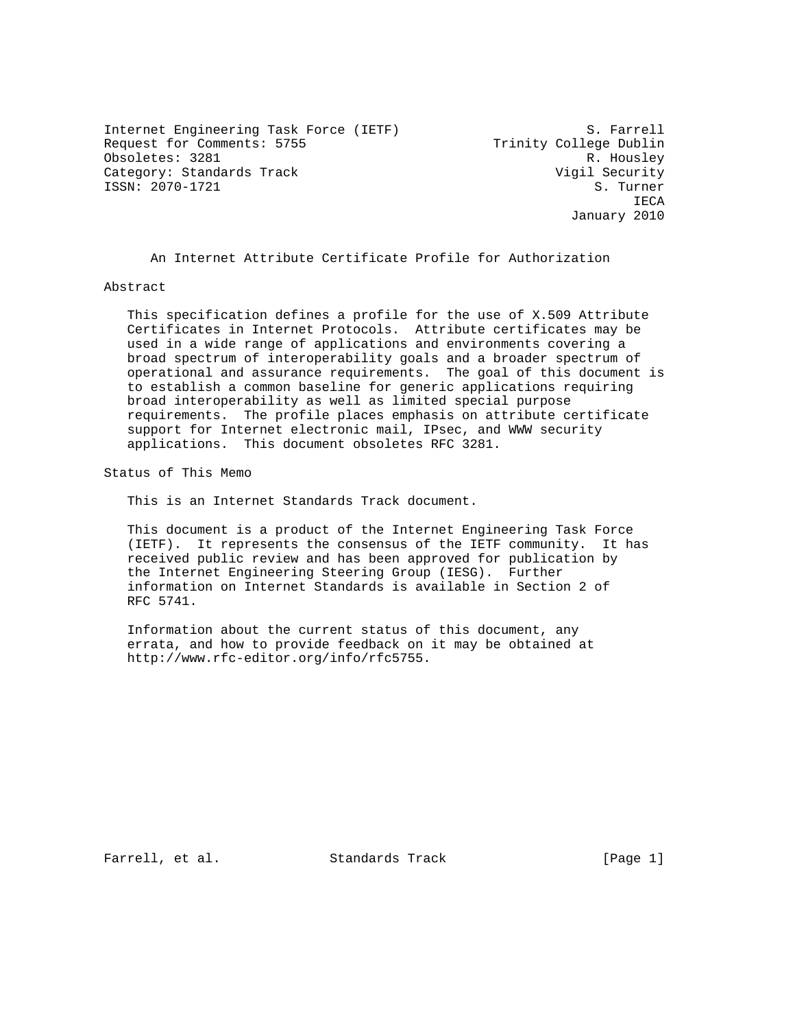Internet Engineering Task Force (IETF) S. Farrell Request for Comments: 5755 Trinity College Dublin Obsoletes: 3281 R. Housley Category: Standards Track Vigil Security Visil Security<br>
ISSN: 2070-1721 S. ISSN: 2070-1721

**IECA** January 2010

An Internet Attribute Certificate Profile for Authorization

Abstract

 This specification defines a profile for the use of X.509 Attribute Certificates in Internet Protocols. Attribute certificates may be used in a wide range of applications and environments covering a broad spectrum of interoperability goals and a broader spectrum of operational and assurance requirements. The goal of this document is to establish a common baseline for generic applications requiring broad interoperability as well as limited special purpose requirements. The profile places emphasis on attribute certificate support for Internet electronic mail, IPsec, and WWW security applications. This document obsoletes RFC 3281.

Status of This Memo

This is an Internet Standards Track document.

 This document is a product of the Internet Engineering Task Force (IETF). It represents the consensus of the IETF community. It has received public review and has been approved for publication by the Internet Engineering Steering Group (IESG). Further information on Internet Standards is available in Section 2 of RFC 5741.

 Information about the current status of this document, any errata, and how to provide feedback on it may be obtained at http://www.rfc-editor.org/info/rfc5755.

Farrell, et al. Standards Track [Page 1]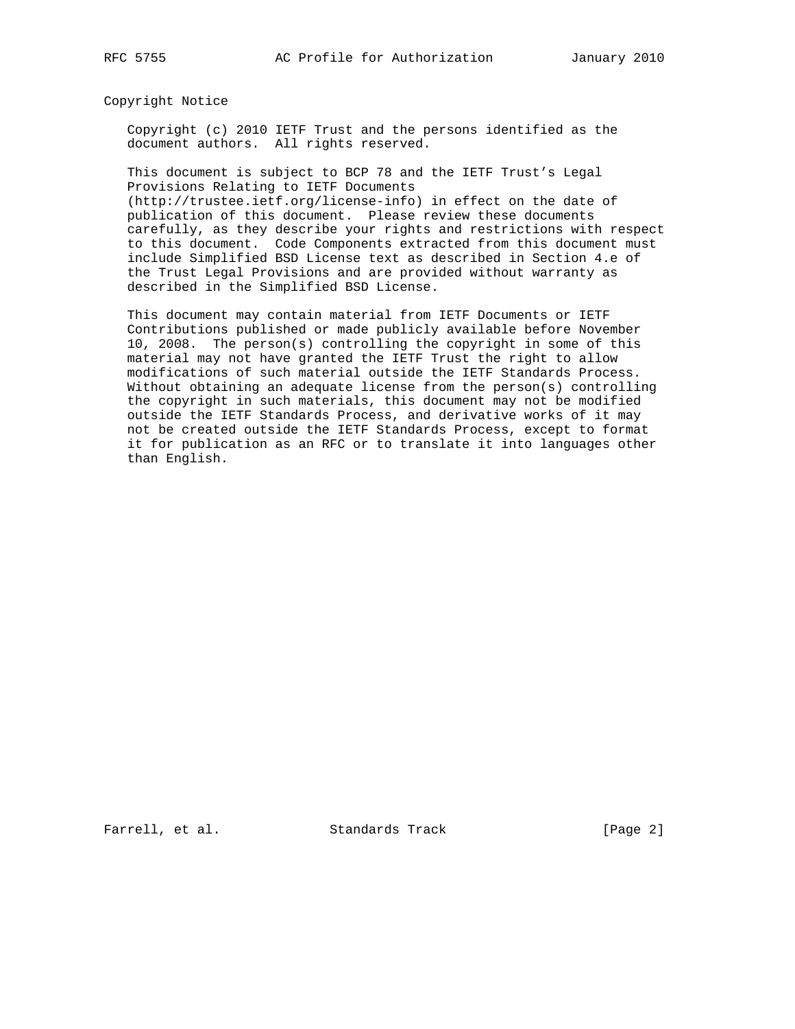Copyright Notice

 Copyright (c) 2010 IETF Trust and the persons identified as the document authors. All rights reserved.

 This document is subject to BCP 78 and the IETF Trust's Legal Provisions Relating to IETF Documents (http://trustee.ietf.org/license-info) in effect on the date of publication of this document. Please review these documents carefully, as they describe your rights and restrictions with respect to this document. Code Components extracted from this document must include Simplified BSD License text as described in Section 4.e of the Trust Legal Provisions and are provided without warranty as

described in the Simplified BSD License.

 This document may contain material from IETF Documents or IETF Contributions published or made publicly available before November 10, 2008. The person(s) controlling the copyright in some of this material may not have granted the IETF Trust the right to allow modifications of such material outside the IETF Standards Process. Without obtaining an adequate license from the person(s) controlling the copyright in such materials, this document may not be modified outside the IETF Standards Process, and derivative works of it may not be created outside the IETF Standards Process, except to format it for publication as an RFC or to translate it into languages other than English.

Farrell, et al. Standards Track [Page 2]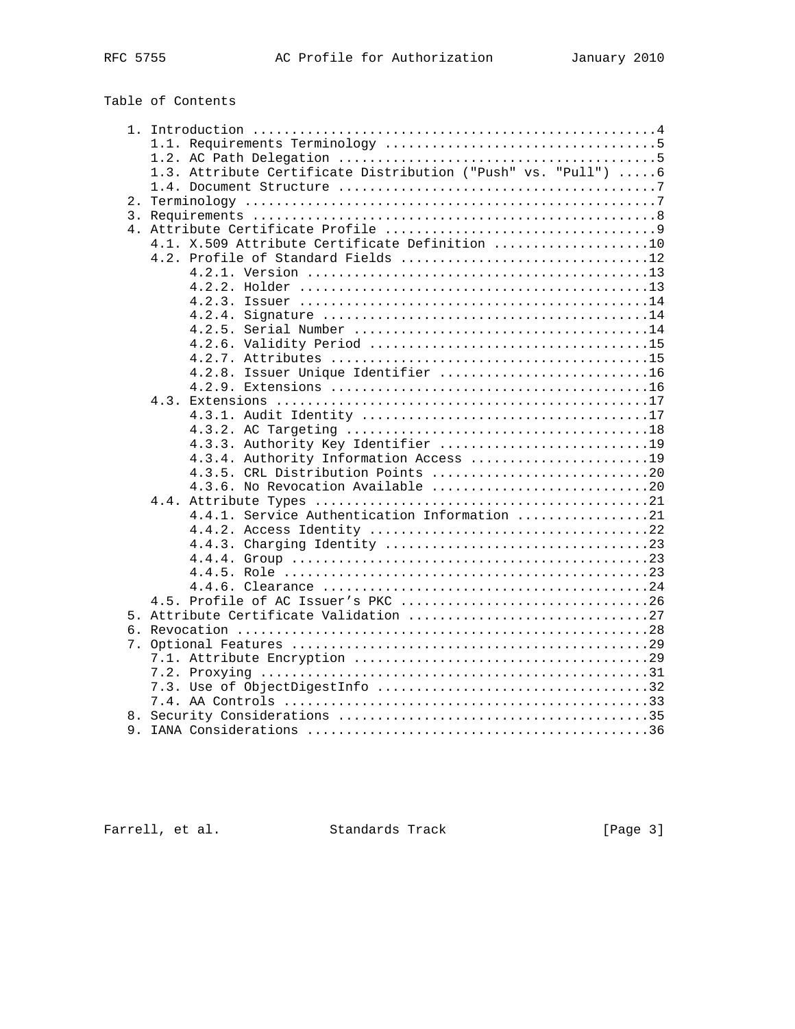# Table of Contents

|  | 1.3. Attribute Certificate Distribution ("Push" vs. "Pull") 6 |
|--|---------------------------------------------------------------|
|  |                                                               |
|  |                                                               |
|  |                                                               |
|  |                                                               |
|  | 4.1. X.509 Attribute Certificate Definition 10                |
|  | 4.2. Profile of Standard Fields 12                            |
|  |                                                               |
|  |                                                               |
|  |                                                               |
|  |                                                               |
|  |                                                               |
|  |                                                               |
|  |                                                               |
|  | 4.2.8. Issuer Unique Identifier 16                            |
|  |                                                               |
|  |                                                               |
|  |                                                               |
|  |                                                               |
|  | 4.3.3. Authority Key Identifier 19                            |
|  | 4.3.4. Authority Information Access 19                        |
|  | 4.3.5. CRL Distribution Points 20                             |
|  | 4.3.6. No Revocation Available 20                             |
|  |                                                               |
|  | 4.4.1. Service Authentication Information 21                  |
|  |                                                               |
|  |                                                               |
|  |                                                               |
|  |                                                               |
|  |                                                               |
|  |                                                               |
|  |                                                               |
|  |                                                               |
|  |                                                               |
|  |                                                               |
|  |                                                               |
|  |                                                               |
|  |                                                               |
|  |                                                               |
|  |                                                               |
|  |                                                               |

Farrell, et al. Standards Track [Page 3]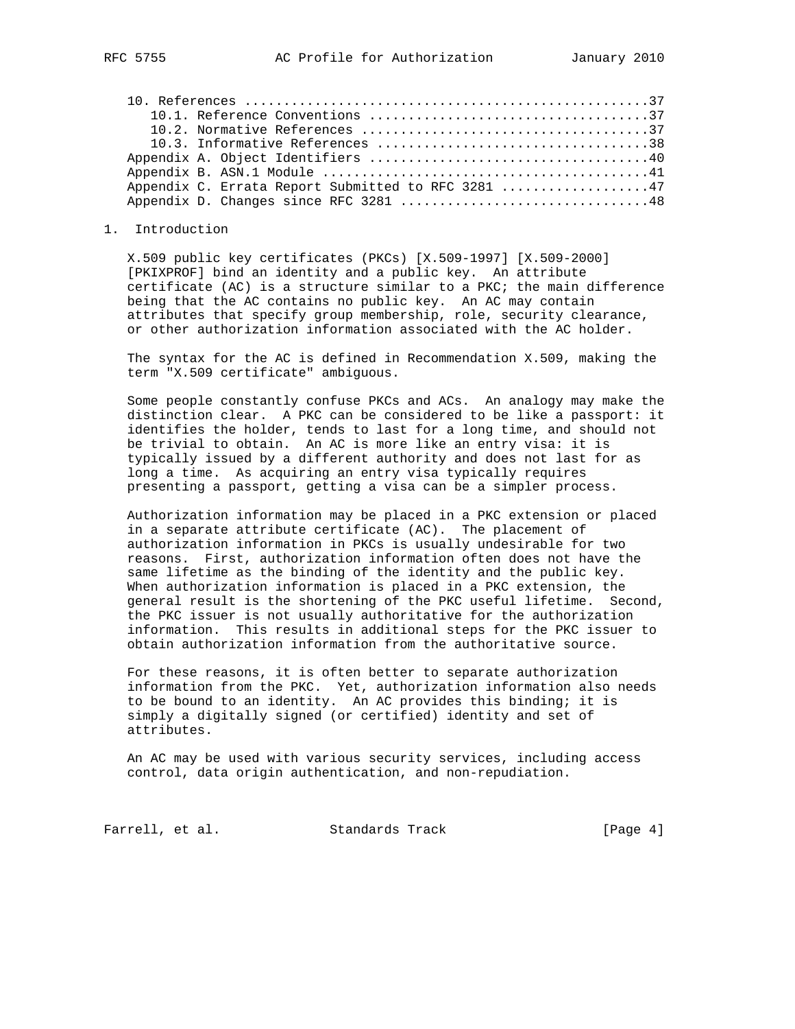|  | Appendix C. Errata Report Submitted to RFC 3281 47 |  |
|--|----------------------------------------------------|--|
|  | Appendix D. Changes since RFC 3281 48              |  |
|  |                                                    |  |

#### 1. Introduction

 X.509 public key certificates (PKCs) [X.509-1997] [X.509-2000] [PKIXPROF] bind an identity and a public key. An attribute certificate (AC) is a structure similar to a PKC; the main difference being that the AC contains no public key. An AC may contain attributes that specify group membership, role, security clearance, or other authorization information associated with the AC holder.

 The syntax for the AC is defined in Recommendation X.509, making the term "X.509 certificate" ambiguous.

 Some people constantly confuse PKCs and ACs. An analogy may make the distinction clear. A PKC can be considered to be like a passport: it identifies the holder, tends to last for a long time, and should not be trivial to obtain. An AC is more like an entry visa: it is typically issued by a different authority and does not last for as long a time. As acquiring an entry visa typically requires presenting a passport, getting a visa can be a simpler process.

 Authorization information may be placed in a PKC extension or placed in a separate attribute certificate (AC). The placement of authorization information in PKCs is usually undesirable for two reasons. First, authorization information often does not have the same lifetime as the binding of the identity and the public key. When authorization information is placed in a PKC extension, the general result is the shortening of the PKC useful lifetime. Second, the PKC issuer is not usually authoritative for the authorization information. This results in additional steps for the PKC issuer to obtain authorization information from the authoritative source.

 For these reasons, it is often better to separate authorization information from the PKC. Yet, authorization information also needs to be bound to an identity. An AC provides this binding; it is simply a digitally signed (or certified) identity and set of attributes.

 An AC may be used with various security services, including access control, data origin authentication, and non-repudiation.

Farrell, et al. Standards Track [Page 4]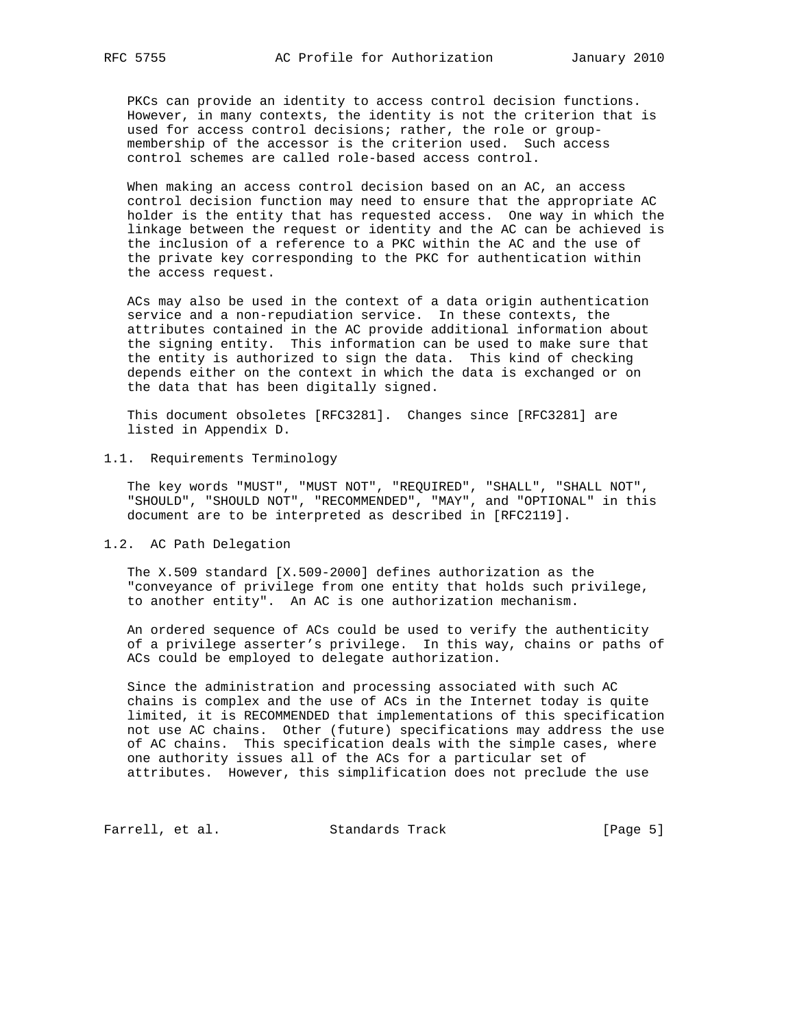PKCs can provide an identity to access control decision functions. However, in many contexts, the identity is not the criterion that is used for access control decisions; rather, the role or group membership of the accessor is the criterion used. Such access control schemes are called role-based access control.

 When making an access control decision based on an AC, an access control decision function may need to ensure that the appropriate AC holder is the entity that has requested access. One way in which the linkage between the request or identity and the AC can be achieved is the inclusion of a reference to a PKC within the AC and the use of the private key corresponding to the PKC for authentication within the access request.

 ACs may also be used in the context of a data origin authentication service and a non-repudiation service. In these contexts, the attributes contained in the AC provide additional information about the signing entity. This information can be used to make sure that the entity is authorized to sign the data. This kind of checking depends either on the context in which the data is exchanged or on the data that has been digitally signed.

 This document obsoletes [RFC3281]. Changes since [RFC3281] are listed in Appendix D.

#### 1.1. Requirements Terminology

 The key words "MUST", "MUST NOT", "REQUIRED", "SHALL", "SHALL NOT", "SHOULD", "SHOULD NOT", "RECOMMENDED", "MAY", and "OPTIONAL" in this document are to be interpreted as described in [RFC2119].

1.2. AC Path Delegation

 The X.509 standard [X.509-2000] defines authorization as the "conveyance of privilege from one entity that holds such privilege, to another entity". An AC is one authorization mechanism.

 An ordered sequence of ACs could be used to verify the authenticity of a privilege asserter's privilege. In this way, chains or paths of ACs could be employed to delegate authorization.

 Since the administration and processing associated with such AC chains is complex and the use of ACs in the Internet today is quite limited, it is RECOMMENDED that implementations of this specification not use AC chains. Other (future) specifications may address the use of AC chains. This specification deals with the simple cases, where one authority issues all of the ACs for a particular set of attributes. However, this simplification does not preclude the use

Farrell, et al. Standards Track [Page 5]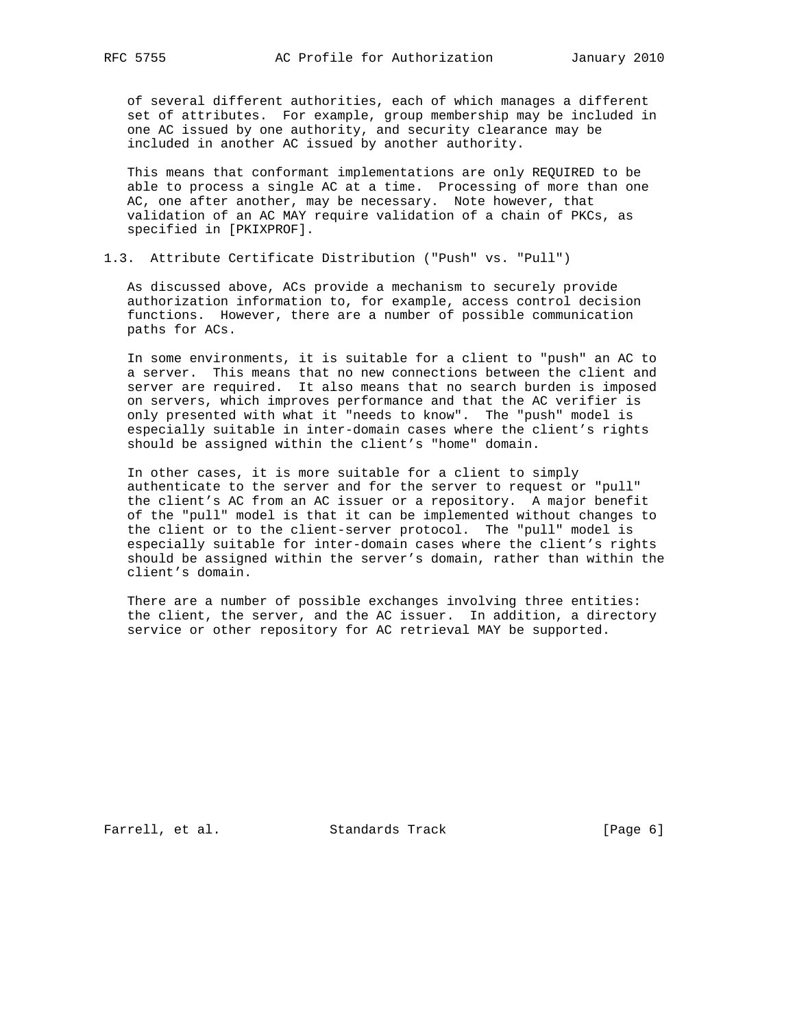of several different authorities, each of which manages a different set of attributes. For example, group membership may be included in one AC issued by one authority, and security clearance may be included in another AC issued by another authority.

 This means that conformant implementations are only REQUIRED to be able to process a single AC at a time. Processing of more than one AC, one after another, may be necessary. Note however, that validation of an AC MAY require validation of a chain of PKCs, as specified in [PKIXPROF].

# 1.3. Attribute Certificate Distribution ("Push" vs. "Pull")

 As discussed above, ACs provide a mechanism to securely provide authorization information to, for example, access control decision functions. However, there are a number of possible communication paths for ACs.

 In some environments, it is suitable for a client to "push" an AC to a server. This means that no new connections between the client and server are required. It also means that no search burden is imposed on servers, which improves performance and that the AC verifier is only presented with what it "needs to know". The "push" model is especially suitable in inter-domain cases where the client's rights should be assigned within the client's "home" domain.

 In other cases, it is more suitable for a client to simply authenticate to the server and for the server to request or "pull" the client's AC from an AC issuer or a repository. A major benefit of the "pull" model is that it can be implemented without changes to the client or to the client-server protocol. The "pull" model is especially suitable for inter-domain cases where the client's rights should be assigned within the server's domain, rather than within the client's domain.

 There are a number of possible exchanges involving three entities: the client, the server, and the AC issuer. In addition, a directory service or other repository for AC retrieval MAY be supported.

Farrell, et al. Standards Track [Page 6]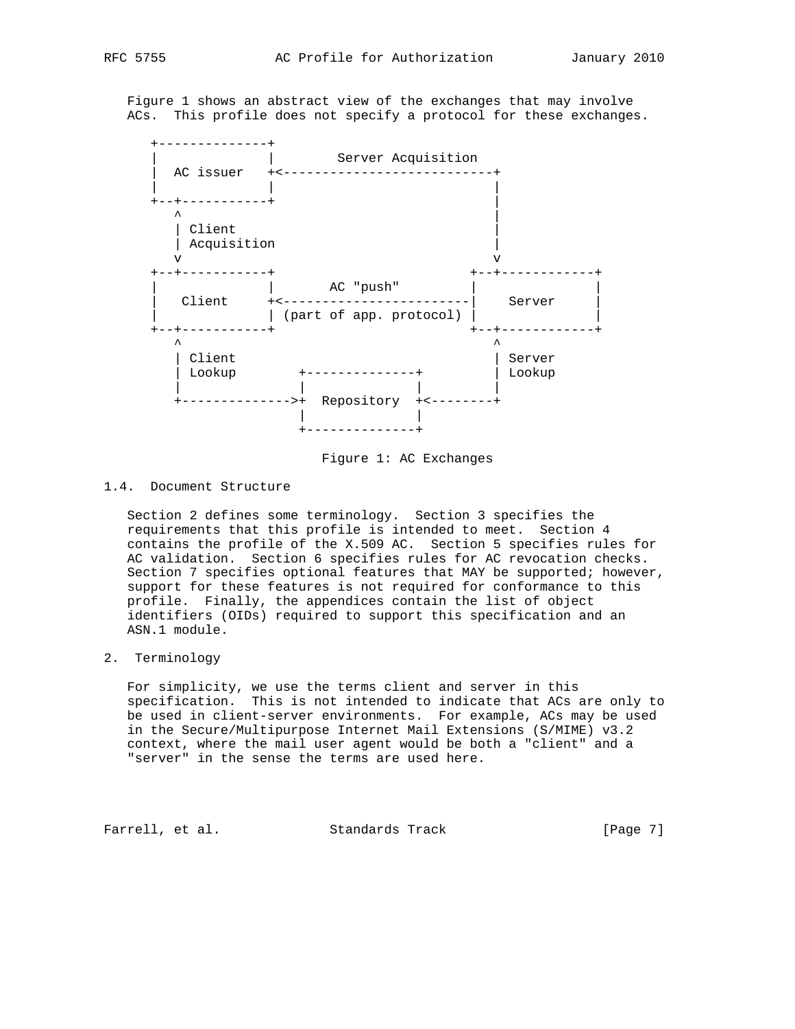Figure 1 shows an abstract view of the exchanges that may involve ACs. This profile does not specify a protocol for these exchanges.



Figure 1: AC Exchanges

## 1.4. Document Structure

 Section 2 defines some terminology. Section 3 specifies the requirements that this profile is intended to meet. Section 4 contains the profile of the X.509 AC. Section 5 specifies rules for AC validation. Section 6 specifies rules for AC revocation checks. Section 7 specifies optional features that MAY be supported; however, support for these features is not required for conformance to this profile. Finally, the appendices contain the list of object identifiers (OIDs) required to support this specification and an ASN.1 module.

# 2. Terminology

 For simplicity, we use the terms client and server in this specification. This is not intended to indicate that ACs are only to be used in client-server environments. For example, ACs may be used in the Secure/Multipurpose Internet Mail Extensions (S/MIME) v3.2 context, where the mail user agent would be both a "client" and a "server" in the sense the terms are used here.

Farrell, et al. Standards Track [Page 7]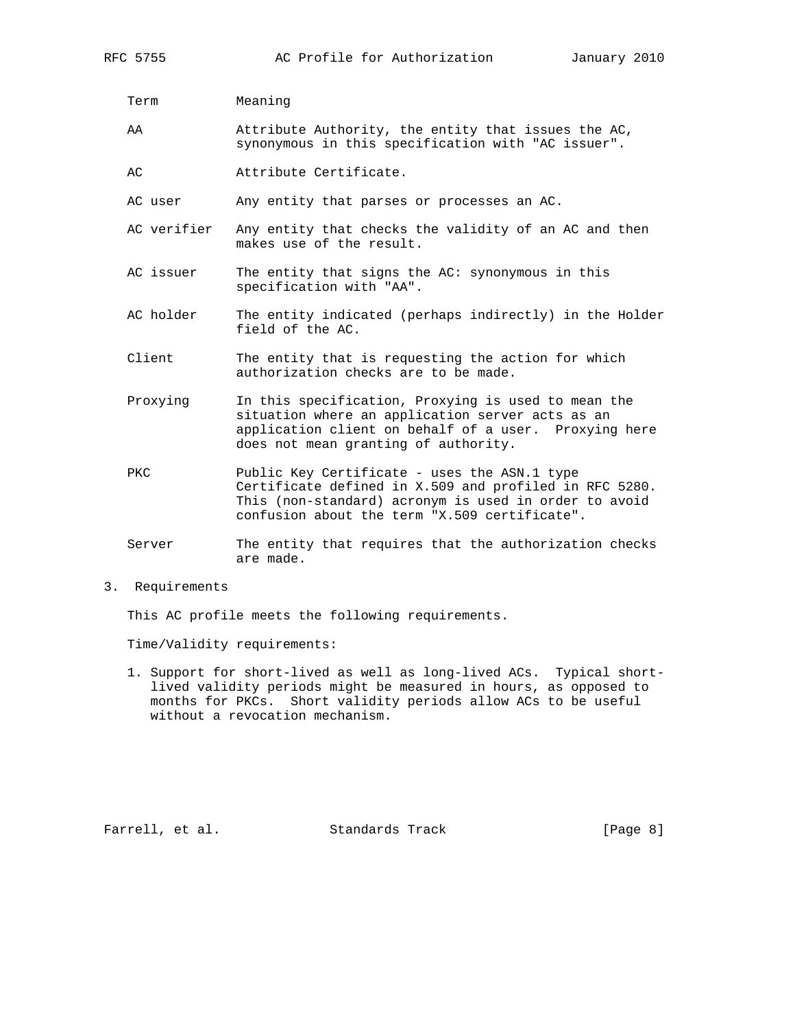Term Meaning

- AA Attribute Authority, the entity that issues the AC, synonymous in this specification with "AC issuer".
- AC Attribute Certificate.
- AC user Any entity that parses or processes an AC.
- AC verifier Any entity that checks the validity of an AC and then makes use of the result.
- AC issuer The entity that signs the AC: synonymous in this specification with "AA".
- AC holder The entity indicated (perhaps indirectly) in the Holder field of the AC.
- Client The entity that is requesting the action for which authorization checks are to be made.
- Proxying In this specification, Proxying is used to mean the situation where an application server acts as an application client on behalf of a user. Proxying here does not mean granting of authority.
- PKC Public Key Certificate uses the ASN.1 type Certificate defined in X.509 and profiled in RFC 5280. This (non-standard) acronym is used in order to avoid confusion about the term "X.509 certificate".

Server The entity that requires that the authorization checks are made.

3. Requirements

This AC profile meets the following requirements.

Time/Validity requirements:

 1. Support for short-lived as well as long-lived ACs. Typical short lived validity periods might be measured in hours, as opposed to months for PKCs. Short validity periods allow ACs to be useful without a revocation mechanism.

Farrell, et al. Standards Track [Page 8]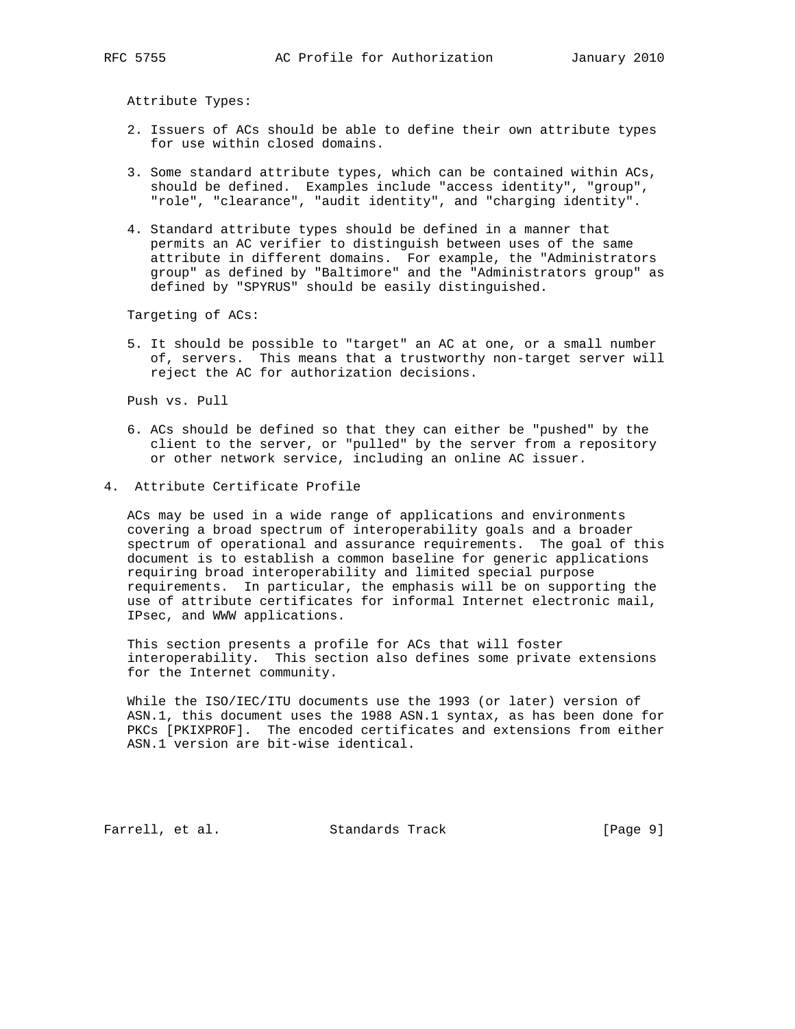Attribute Types:

- 2. Issuers of ACs should be able to define their own attribute types for use within closed domains.
- 3. Some standard attribute types, which can be contained within ACs, should be defined. Examples include "access identity", "group", "role", "clearance", "audit identity", and "charging identity".
- 4. Standard attribute types should be defined in a manner that permits an AC verifier to distinguish between uses of the same attribute in different domains. For example, the "Administrators group" as defined by "Baltimore" and the "Administrators group" as defined by "SPYRUS" should be easily distinguished.

Targeting of ACs:

 5. It should be possible to "target" an AC at one, or a small number of, servers. This means that a trustworthy non-target server will reject the AC for authorization decisions.

Push vs. Pull

- 6. ACs should be defined so that they can either be "pushed" by the client to the server, or "pulled" by the server from a repository or other network service, including an online AC issuer.
- 4. Attribute Certificate Profile

 ACs may be used in a wide range of applications and environments covering a broad spectrum of interoperability goals and a broader spectrum of operational and assurance requirements. The goal of this document is to establish a common baseline for generic applications requiring broad interoperability and limited special purpose requirements. In particular, the emphasis will be on supporting the use of attribute certificates for informal Internet electronic mail, IPsec, and WWW applications.

 This section presents a profile for ACs that will foster interoperability. This section also defines some private extensions for the Internet community.

 While the ISO/IEC/ITU documents use the 1993 (or later) version of ASN.1, this document uses the 1988 ASN.1 syntax, as has been done for PKCs [PKIXPROF]. The encoded certificates and extensions from either ASN.1 version are bit-wise identical.

Farrell, et al. Standards Track [Page 9]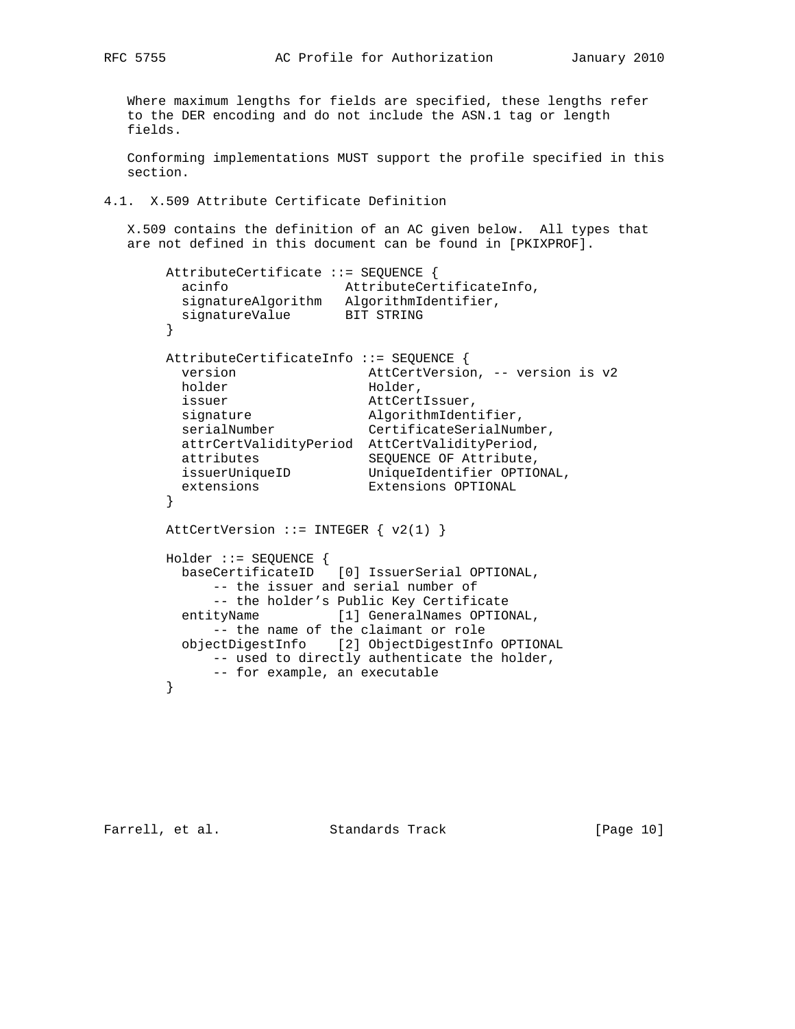Where maximum lengths for fields are specified, these lengths refer to the DER encoding and do not include the ASN.1 tag or length fields.

 Conforming implementations MUST support the profile specified in this section.

#### 4.1. X.509 Attribute Certificate Definition

 X.509 contains the definition of an AC given below. All types that are not defined in this document can be found in [PKIXPROF].

```
 AttributeCertificate ::= SEQUENCE {
        acinfo AttributeCertificateInfo,
        signatureAlgorithm AlgorithmIdentifier,
       signatureValue BIT STRING
       }
       AttributeCertificateInfo ::= SEQUENCE {
        version AttCertVersion, -- version is v2
       holder Holder,
issuer and AttCertIssuer,
signature algorithmIdentifier,
serialNumber CertificateSerialNumber,
        attrCertValidityPeriod AttCertValidityPeriod,
 attributes SEQUENCE OF Attribute,
 issuerUniqueID UniqueIdentifier OPTIONAL,
 extensions Extensions OPTIONAL
       }
      AttCertVersion ::= INTEGER \{ v2(1) \} Holder ::= SEQUENCE {
        baseCertificateID [0] IssuerSerial OPTIONAL,
            -- the issuer and serial number of
            -- the holder's Public Key Certificate
        entityName [1] GeneralNames OPTIONAL,
            -- the name of the claimant or role
        objectDigestInfo [2] ObjectDigestInfo OPTIONAL
            -- used to directly authenticate the holder,
            -- for example, an executable
       }
```
Farrell, et al. Standards Track [Page 10]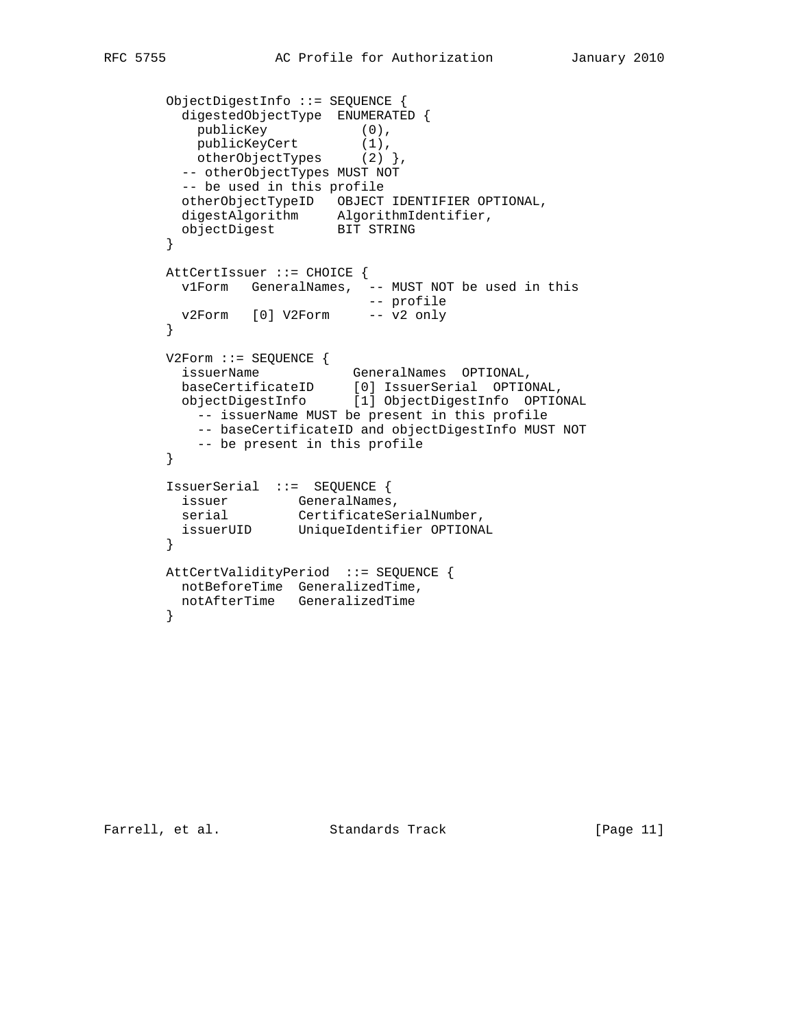```
 ObjectDigestInfo ::= SEQUENCE {
        digestedObjectType ENUMERATED {
publicKey (0),
```

```
publicKeyCert (1),
otherObjectTypes (2) },
       -- otherObjectTypes MUST NOT
        -- be used in this profile
 otherObjectTypeID OBJECT IDENTIFIER OPTIONAL,
 digestAlgorithm AlgorithmIdentifier,
 objectDigest BIT STRING
       }
       AttCertIssuer ::= CHOICE {
 v1Form GeneralNames, -- MUST NOT be used in this
 -- profile
 v2Form [0] V2Form -- v2 only
       }
       V2Form ::= SEQUENCE {
 issuerName GeneralNames OPTIONAL,
 baseCertificateID [0] IssuerSerial OPTIONAL,
 objectDigestInfo [1] ObjectDigestInfo OPTIONAL
          -- issuerName MUST be present in this profile
          -- baseCertificateID and objectDigestInfo MUST NOT
          -- be present in this profile
       }
       IssuerSerial ::= SEQUENCE {
issuer GeneralNames,
serial CertificateSerialNumber,
 issuerUID UniqueIdentifier OPTIONAL
       }
       AttCertValidityPeriod ::= SEQUENCE {
       notBeforeTime GeneralizedTime,
        notAfterTime GeneralizedTime
       }
```
Farrell, et al. Standards Track [Page 11]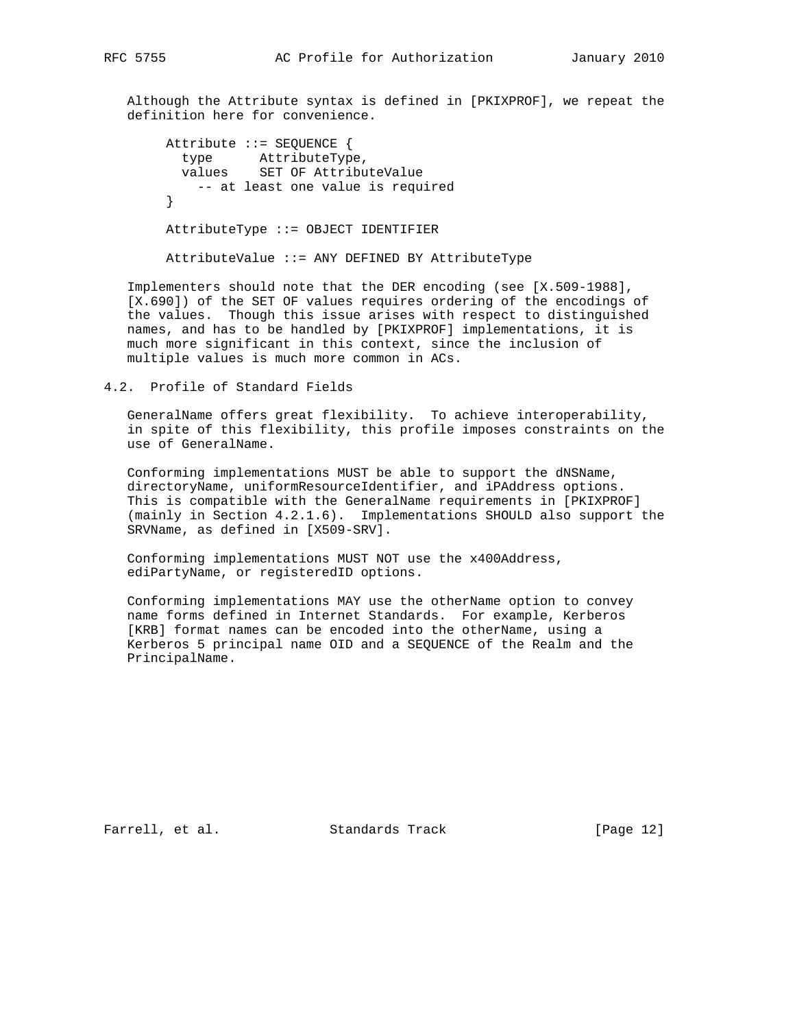Although the Attribute syntax is defined in [PKIXPROF], we repeat the definition here for convenience.

 Attribute ::= SEQUENCE { type AttributeType, values SET OF AttributeValue -- at least one value is required } AttributeType ::= OBJECT IDENTIFIER AttributeValue ::= ANY DEFINED BY AttributeType

 Implementers should note that the DER encoding (see [X.509-1988], [X.690]) of the SET OF values requires ordering of the encodings of the values. Though this issue arises with respect to distinguished names, and has to be handled by [PKIXPROF] implementations, it is much more significant in this context, since the inclusion of multiple values is much more common in ACs.

4.2. Profile of Standard Fields

 GeneralName offers great flexibility. To achieve interoperability, in spite of this flexibility, this profile imposes constraints on the use of GeneralName.

 Conforming implementations MUST be able to support the dNSName, directoryName, uniformResourceIdentifier, and iPAddress options. This is compatible with the GeneralName requirements in [PKIXPROF] (mainly in Section 4.2.1.6). Implementations SHOULD also support the SRVName, as defined in [X509-SRV].

 Conforming implementations MUST NOT use the x400Address, ediPartyName, or registeredID options.

 Conforming implementations MAY use the otherName option to convey name forms defined in Internet Standards. For example, Kerberos [KRB] format names can be encoded into the otherName, using a Kerberos 5 principal name OID and a SEQUENCE of the Realm and the PrincipalName.

Farrell, et al. Standards Track [Page 12]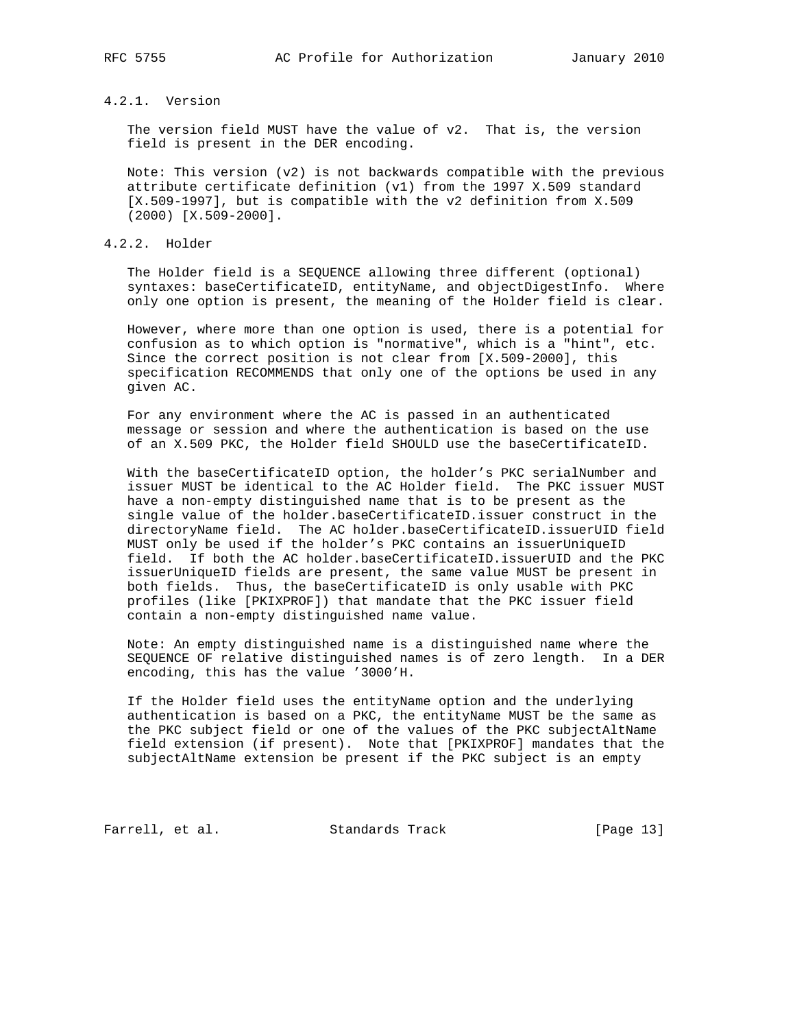# 4.2.1. Version

 The version field MUST have the value of v2. That is, the version field is present in the DER encoding.

 Note: This version (v2) is not backwards compatible with the previous attribute certificate definition (v1) from the 1997 X.509 standard [X.509-1997], but is compatible with the v2 definition from X.509 (2000) [X.509-2000].

#### 4.2.2. Holder

 The Holder field is a SEQUENCE allowing three different (optional) syntaxes: baseCertificateID, entityName, and objectDigestInfo. Where only one option is present, the meaning of the Holder field is clear.

 However, where more than one option is used, there is a potential for confusion as to which option is "normative", which is a "hint", etc. Since the correct position is not clear from [X.509-2000], this specification RECOMMENDS that only one of the options be used in any given AC.

 For any environment where the AC is passed in an authenticated message or session and where the authentication is based on the use of an X.509 PKC, the Holder field SHOULD use the baseCertificateID.

 With the baseCertificateID option, the holder's PKC serialNumber and issuer MUST be identical to the AC Holder field. The PKC issuer MUST have a non-empty distinguished name that is to be present as the single value of the holder.baseCertificateID.issuer construct in the directoryName field. The AC holder.baseCertificateID.issuerUID field MUST only be used if the holder's PKC contains an issuerUniqueID field. If both the AC holder.baseCertificateID.issuerUID and the PKC issuerUniqueID fields are present, the same value MUST be present in both fields. Thus, the baseCertificateID is only usable with PKC profiles (like [PKIXPROF]) that mandate that the PKC issuer field contain a non-empty distinguished name value.

 Note: An empty distinguished name is a distinguished name where the SEQUENCE OF relative distinguished names is of zero length. In a DER encoding, this has the value '3000'H.

 If the Holder field uses the entityName option and the underlying authentication is based on a PKC, the entityName MUST be the same as the PKC subject field or one of the values of the PKC subjectAltName field extension (if present). Note that [PKIXPROF] mandates that the subjectAltName extension be present if the PKC subject is an empty

Farrell, et al. Standards Track [Page 13]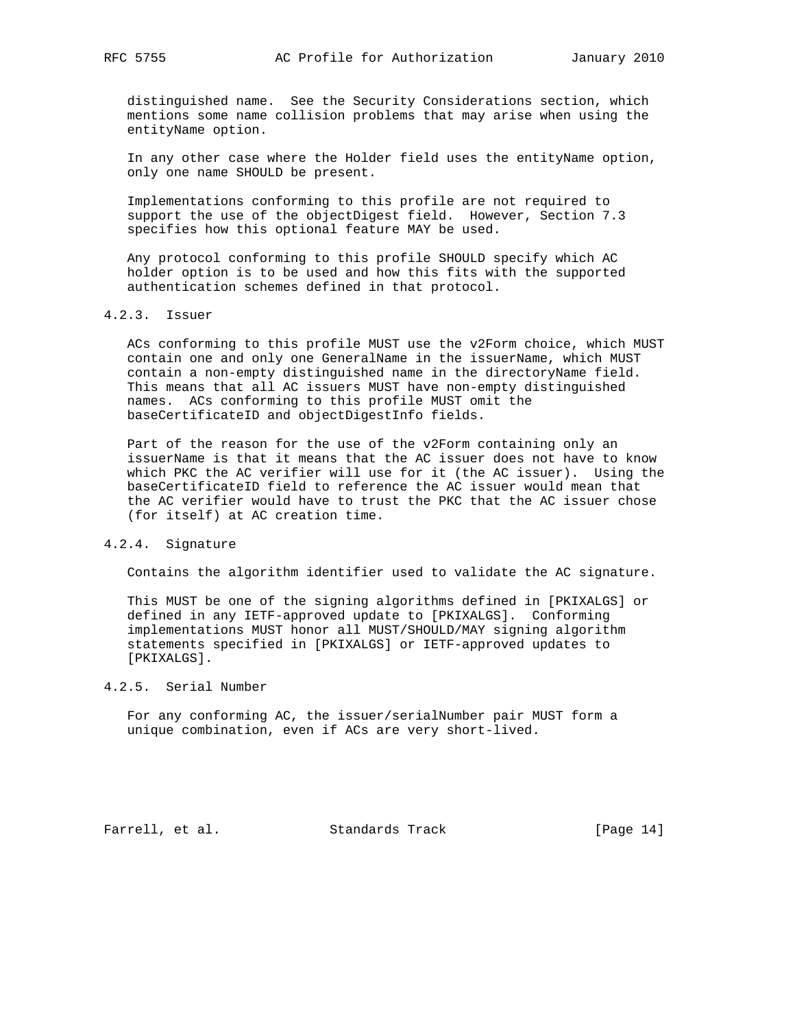distinguished name. See the Security Considerations section, which mentions some name collision problems that may arise when using the entityName option.

 In any other case where the Holder field uses the entityName option, only one name SHOULD be present.

 Implementations conforming to this profile are not required to support the use of the objectDigest field. However, Section 7.3 specifies how this optional feature MAY be used.

 Any protocol conforming to this profile SHOULD specify which AC holder option is to be used and how this fits with the supported authentication schemes defined in that protocol.

# 4.2.3. Issuer

 ACs conforming to this profile MUST use the v2Form choice, which MUST contain one and only one GeneralName in the issuerName, which MUST contain a non-empty distinguished name in the directoryName field. This means that all AC issuers MUST have non-empty distinguished names. ACs conforming to this profile MUST omit the baseCertificateID and objectDigestInfo fields.

 Part of the reason for the use of the v2Form containing only an issuerName is that it means that the AC issuer does not have to know which PKC the AC verifier will use for it (the AC issuer). Using the baseCertificateID field to reference the AC issuer would mean that the AC verifier would have to trust the PKC that the AC issuer chose (for itself) at AC creation time.

#### 4.2.4. Signature

Contains the algorithm identifier used to validate the AC signature.

 This MUST be one of the signing algorithms defined in [PKIXALGS] or defined in any IETF-approved update to [PKIXALGS]. Conforming implementations MUST honor all MUST/SHOULD/MAY signing algorithm statements specified in [PKIXALGS] or IETF-approved updates to [PKIXALGS].

# 4.2.5. Serial Number

 For any conforming AC, the issuer/serialNumber pair MUST form a unique combination, even if ACs are very short-lived.

Farrell, et al. Standards Track [Page 14]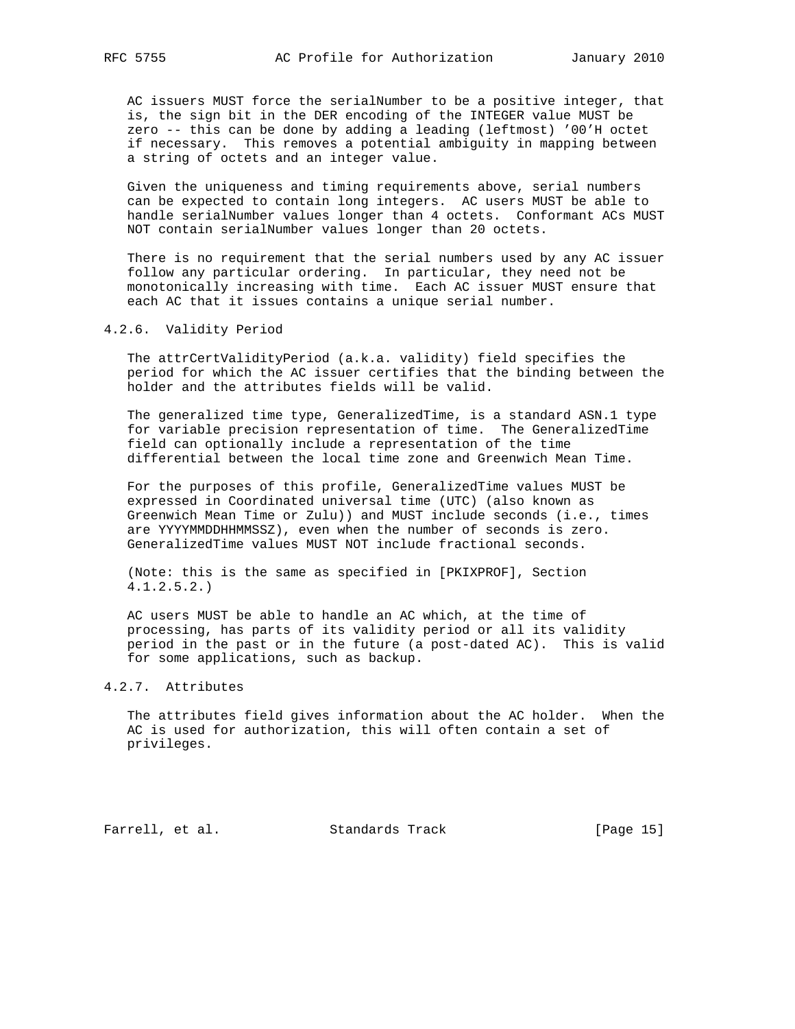AC issuers MUST force the serialNumber to be a positive integer, that is, the sign bit in the DER encoding of the INTEGER value MUST be zero -- this can be done by adding a leading (leftmost) '00'H octet if necessary. This removes a potential ambiguity in mapping between a string of octets and an integer value.

 Given the uniqueness and timing requirements above, serial numbers can be expected to contain long integers. AC users MUST be able to handle serialNumber values longer than 4 octets. Conformant ACs MUST NOT contain serialNumber values longer than 20 octets.

 There is no requirement that the serial numbers used by any AC issuer follow any particular ordering. In particular, they need not be monotonically increasing with time. Each AC issuer MUST ensure that each AC that it issues contains a unique serial number.

#### 4.2.6. Validity Period

 The attrCertValidityPeriod (a.k.a. validity) field specifies the period for which the AC issuer certifies that the binding between the holder and the attributes fields will be valid.

 The generalized time type, GeneralizedTime, is a standard ASN.1 type for variable precision representation of time. The GeneralizedTime field can optionally include a representation of the time differential between the local time zone and Greenwich Mean Time.

 For the purposes of this profile, GeneralizedTime values MUST be expressed in Coordinated universal time (UTC) (also known as Greenwich Mean Time or Zulu)) and MUST include seconds (i.e., times are YYYYMMDDHHMMSSZ), even when the number of seconds is zero. GeneralizedTime values MUST NOT include fractional seconds.

 (Note: this is the same as specified in [PKIXPROF], Section 4.1.2.5.2.)

 AC users MUST be able to handle an AC which, at the time of processing, has parts of its validity period or all its validity period in the past or in the future (a post-dated AC). This is valid for some applications, such as backup.

# 4.2.7. Attributes

 The attributes field gives information about the AC holder. When the AC is used for authorization, this will often contain a set of privileges.

Farrell, et al. Standards Track [Page 15]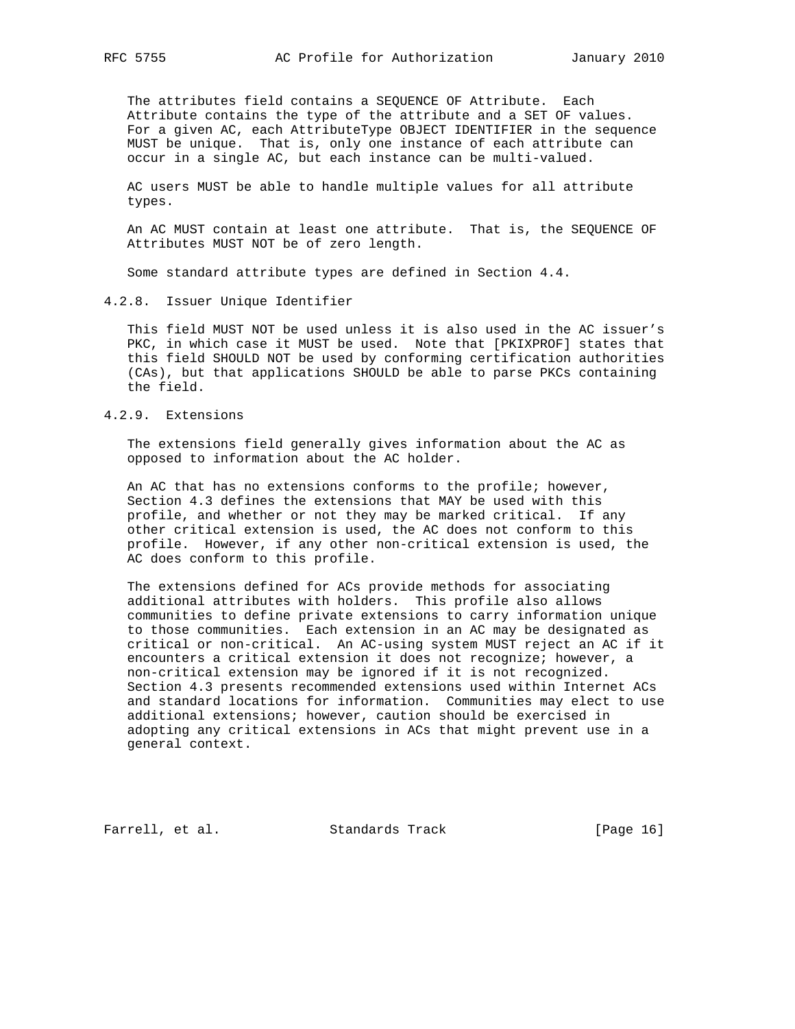The attributes field contains a SEQUENCE OF Attribute. Each Attribute contains the type of the attribute and a SET OF values. For a given AC, each AttributeType OBJECT IDENTIFIER in the sequence MUST be unique. That is, only one instance of each attribute can occur in a single AC, but each instance can be multi-valued.

 AC users MUST be able to handle multiple values for all attribute types.

 An AC MUST contain at least one attribute. That is, the SEQUENCE OF Attributes MUST NOT be of zero length.

Some standard attribute types are defined in Section 4.4.

4.2.8. Issuer Unique Identifier

 This field MUST NOT be used unless it is also used in the AC issuer's PKC, in which case it MUST be used. Note that [PKIXPROF] states that this field SHOULD NOT be used by conforming certification authorities (CAs), but that applications SHOULD be able to parse PKCs containing the field.

# 4.2.9. Extensions

 The extensions field generally gives information about the AC as opposed to information about the AC holder.

 An AC that has no extensions conforms to the profile; however, Section 4.3 defines the extensions that MAY be used with this profile, and whether or not they may be marked critical. If any other critical extension is used, the AC does not conform to this profile. However, if any other non-critical extension is used, the AC does conform to this profile.

 The extensions defined for ACs provide methods for associating additional attributes with holders. This profile also allows communities to define private extensions to carry information unique to those communities. Each extension in an AC may be designated as critical or non-critical. An AC-using system MUST reject an AC if it encounters a critical extension it does not recognize; however, a non-critical extension may be ignored if it is not recognized. Section 4.3 presents recommended extensions used within Internet ACs and standard locations for information. Communities may elect to use additional extensions; however, caution should be exercised in adopting any critical extensions in ACs that might prevent use in a general context.

Farrell, et al. Standards Track [Page 16]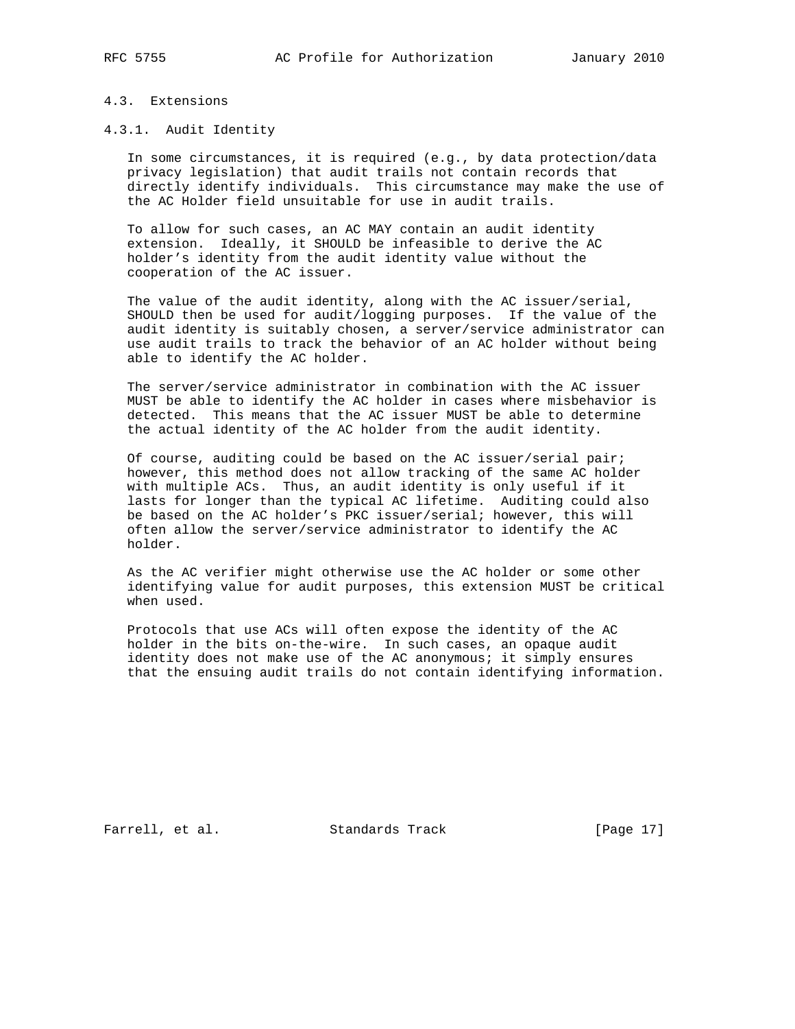# 4.3. Extensions

# 4.3.1. Audit Identity

 In some circumstances, it is required (e.g., by data protection/data privacy legislation) that audit trails not contain records that directly identify individuals. This circumstance may make the use of the AC Holder field unsuitable for use in audit trails.

 To allow for such cases, an AC MAY contain an audit identity extension. Ideally, it SHOULD be infeasible to derive the AC holder's identity from the audit identity value without the cooperation of the AC issuer.

 The value of the audit identity, along with the AC issuer/serial, SHOULD then be used for audit/logging purposes. If the value of the audit identity is suitably chosen, a server/service administrator can use audit trails to track the behavior of an AC holder without being able to identify the AC holder.

 The server/service administrator in combination with the AC issuer MUST be able to identify the AC holder in cases where misbehavior is detected. This means that the AC issuer MUST be able to determine the actual identity of the AC holder from the audit identity.

 Of course, auditing could be based on the AC issuer/serial pair; however, this method does not allow tracking of the same AC holder with multiple ACs. Thus, an audit identity is only useful if it lasts for longer than the typical AC lifetime. Auditing could also be based on the AC holder's PKC issuer/serial; however, this will often allow the server/service administrator to identify the AC holder.

 As the AC verifier might otherwise use the AC holder or some other identifying value for audit purposes, this extension MUST be critical when used.

 Protocols that use ACs will often expose the identity of the AC holder in the bits on-the-wire. In such cases, an opaque audit identity does not make use of the AC anonymous; it simply ensures that the ensuing audit trails do not contain identifying information.

Farrell, et al. Standards Track [Page 17]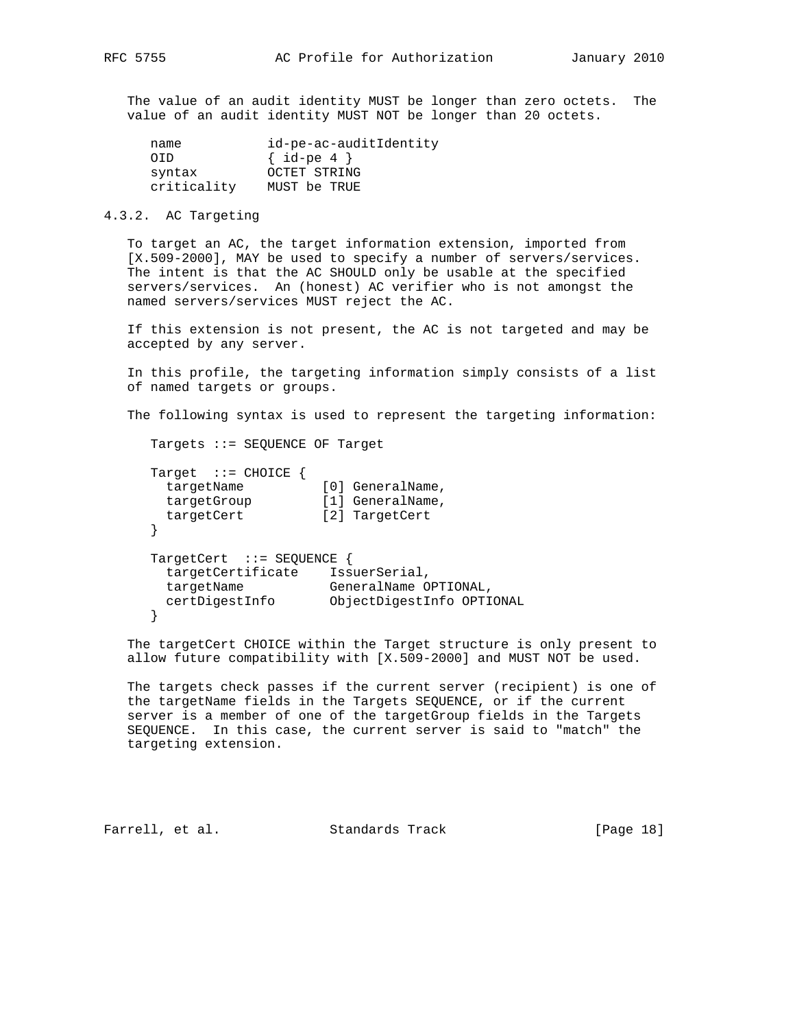The value of an audit identity MUST be longer than zero octets. The value of an audit identity MUST NOT be longer than 20 octets.

| name        | id-pe-ac-auditIdentity |  |  |
|-------------|------------------------|--|--|
| OTD.        | $\{ id-pe 4 \}$        |  |  |
| syntax      | OCTET STRING           |  |  |
| criticality | MUST be TRUE           |  |  |

# 4.3.2. AC Targeting

 To target an AC, the target information extension, imported from [X.509-2000], MAY be used to specify a number of servers/services. The intent is that the AC SHOULD only be usable at the specified servers/services. An (honest) AC verifier who is not amongst the named servers/services MUST reject the AC.

 If this extension is not present, the AC is not targeted and may be accepted by any server.

 In this profile, the targeting information simply consists of a list of named targets or groups.

The following syntax is used to represent the targeting information:

Targets ::= SEQUENCE OF Target

```
 Target ::= CHOICE {
targetName [0] GeneralName,
 targetGroup [1] GeneralName,
 targetCert [2] TargetCert
     }
    TargetCert ::= SEQUENCE {
      targetCertificate IssuerSerial,
 targetName GeneralName OPTIONAL,
 certDigestInfo ObjectDigestInfo OPTIONAL
     }
```
 The targetCert CHOICE within the Target structure is only present to allow future compatibility with [X.509-2000] and MUST NOT be used.

 The targets check passes if the current server (recipient) is one of the targetName fields in the Targets SEQUENCE, or if the current server is a member of one of the targetGroup fields in the Targets SEQUENCE. In this case, the current server is said to "match" the targeting extension.

Farrell, et al. Standards Track [Page 18]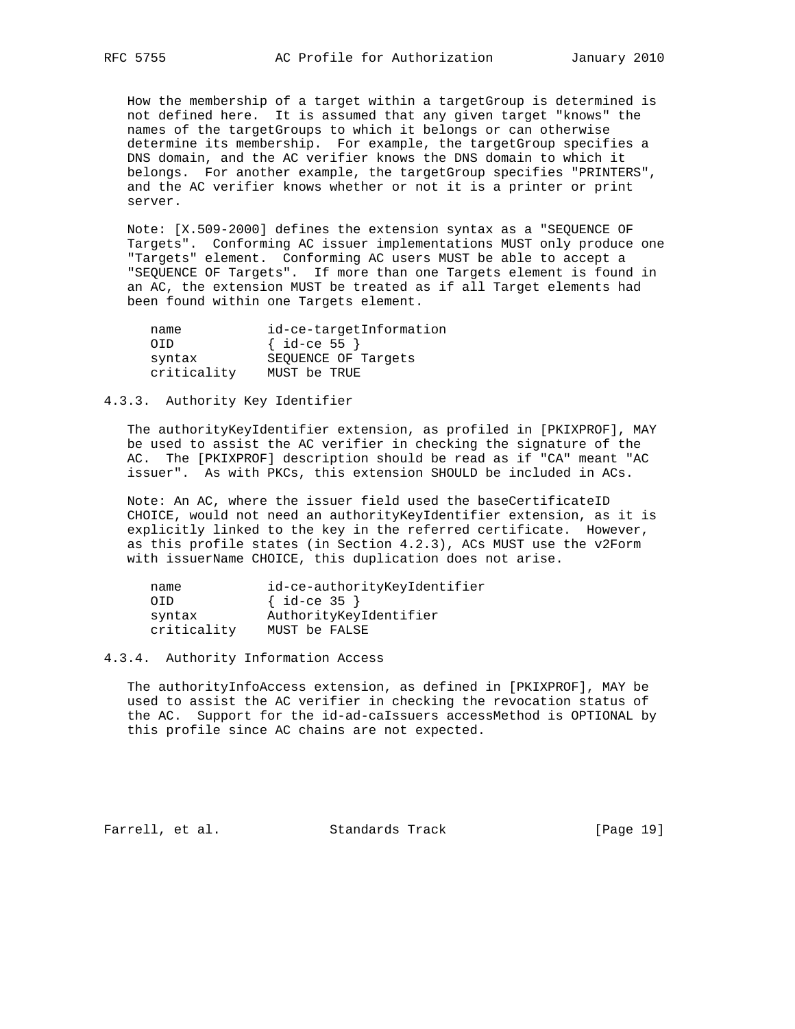How the membership of a target within a targetGroup is determined is not defined here. It is assumed that any given target "knows" the names of the targetGroups to which it belongs or can otherwise determine its membership. For example, the targetGroup specifies a DNS domain, and the AC verifier knows the DNS domain to which it belongs. For another example, the targetGroup specifies "PRINTERS", and the AC verifier knows whether or not it is a printer or print server.

 Note: [X.509-2000] defines the extension syntax as a "SEQUENCE OF Targets". Conforming AC issuer implementations MUST only produce one "Targets" element. Conforming AC users MUST be able to accept a "SEQUENCE OF Targets". If more than one Targets element is found in an AC, the extension MUST be treated as if all Target elements had been found within one Targets element.

| name        | id-ce-targetInformation |
|-------------|-------------------------|
| OTD.        | $\{ id-ce 55 \}$        |
| syntax      | SEOUENCE OF Targets     |
| criticality | MUST be TRUE            |

## 4.3.3. Authority Key Identifier

 The authorityKeyIdentifier extension, as profiled in [PKIXPROF], MAY be used to assist the AC verifier in checking the signature of the AC. The [PKIXPROF] description should be read as if "CA" meant "AC issuer". As with PKCs, this extension SHOULD be included in ACs.

 Note: An AC, where the issuer field used the baseCertificateID CHOICE, would not need an authorityKeyIdentifier extension, as it is explicitly linked to the key in the referred certificate. However, as this profile states (in Section 4.2.3), ACs MUST use the v2Form with issuerName CHOICE, this duplication does not arise.

| name        | id-ce-authorityKeyIdentifier |
|-------------|------------------------------|
| OTD.        | $\{ id-ce 35 \}$             |
| syntax      | AuthorityKeyIdentifier       |
| criticality | MUST be FALSE                |

#### 4.3.4. Authority Information Access

 The authorityInfoAccess extension, as defined in [PKIXPROF], MAY be used to assist the AC verifier in checking the revocation status of the AC. Support for the id-ad-caIssuers accessMethod is OPTIONAL by this profile since AC chains are not expected.

Farrell, et al. Standards Track [Page 19]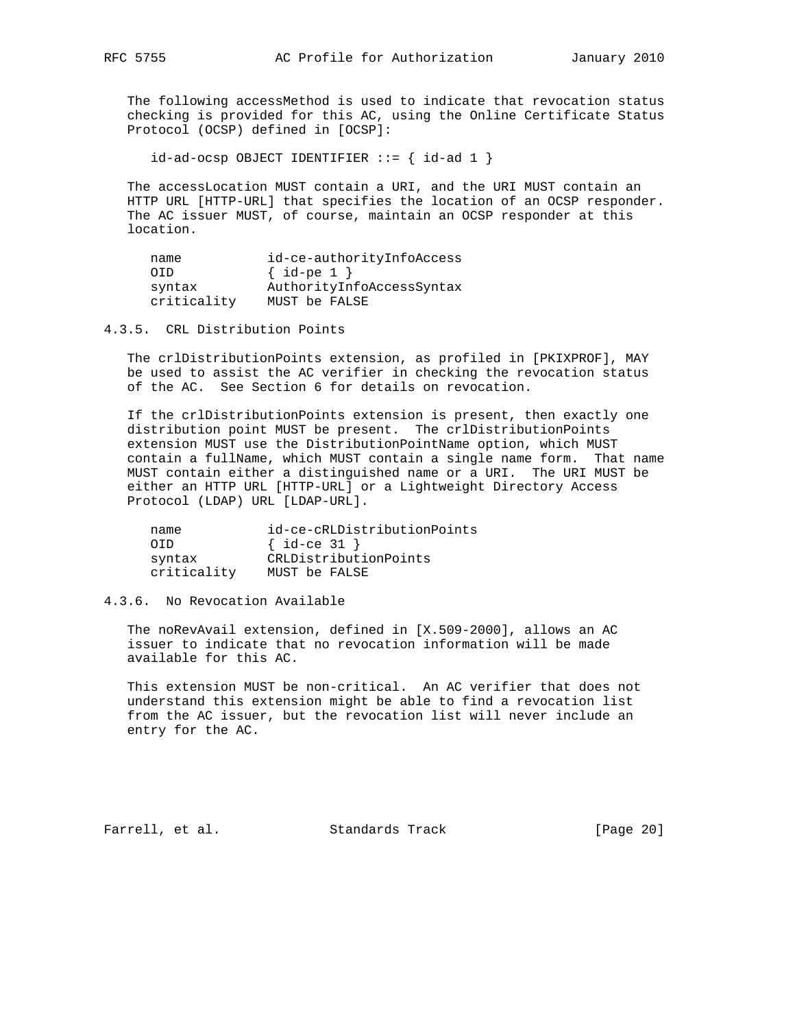The following accessMethod is used to indicate that revocation status checking is provided for this AC, using the Online Certificate Status Protocol (OCSP) defined in [OCSP]:

 $id-ad-ocsp$  OBJECT IDENTIFIER  $::=$  {  $id-ad 1$  }

 The accessLocation MUST contain a URI, and the URI MUST contain an HTTP URL [HTTP-URL] that specifies the location of an OCSP responder. The AC issuer MUST, of course, maintain an OCSP responder at this location.

| name        | id-ce-authorityInfoAccess |
|-------------|---------------------------|
| OTD.        | $\{ id-pe 1 \}$           |
| syntax      | AuthorityInfoAccessSyntax |
| criticality | MUST be FALSE             |

4.3.5. CRL Distribution Points

 The crlDistributionPoints extension, as profiled in [PKIXPROF], MAY be used to assist the AC verifier in checking the revocation status of the AC. See Section 6 for details on revocation.

 If the crlDistributionPoints extension is present, then exactly one distribution point MUST be present. The crlDistributionPoints extension MUST use the DistributionPointName option, which MUST contain a fullName, which MUST contain a single name form. That name MUST contain either a distinguished name or a URI. The URI MUST be either an HTTP URL [HTTP-URL] or a Lightweight Directory Access Protocol (LDAP) URL [LDAP-URL].

| name        | id-ce-cRLDistributionPoints |
|-------------|-----------------------------|
| OTD         | $\{ id-ce 31 \}$            |
| syntax      | CRLDistributionPoints       |
| criticality | MUST be FALSE               |

4.3.6. No Revocation Available

 The noRevAvail extension, defined in [X.509-2000], allows an AC issuer to indicate that no revocation information will be made available for this AC.

 This extension MUST be non-critical. An AC verifier that does not understand this extension might be able to find a revocation list from the AC issuer, but the revocation list will never include an entry for the AC.

Farrell, et al. Standards Track [Page 20]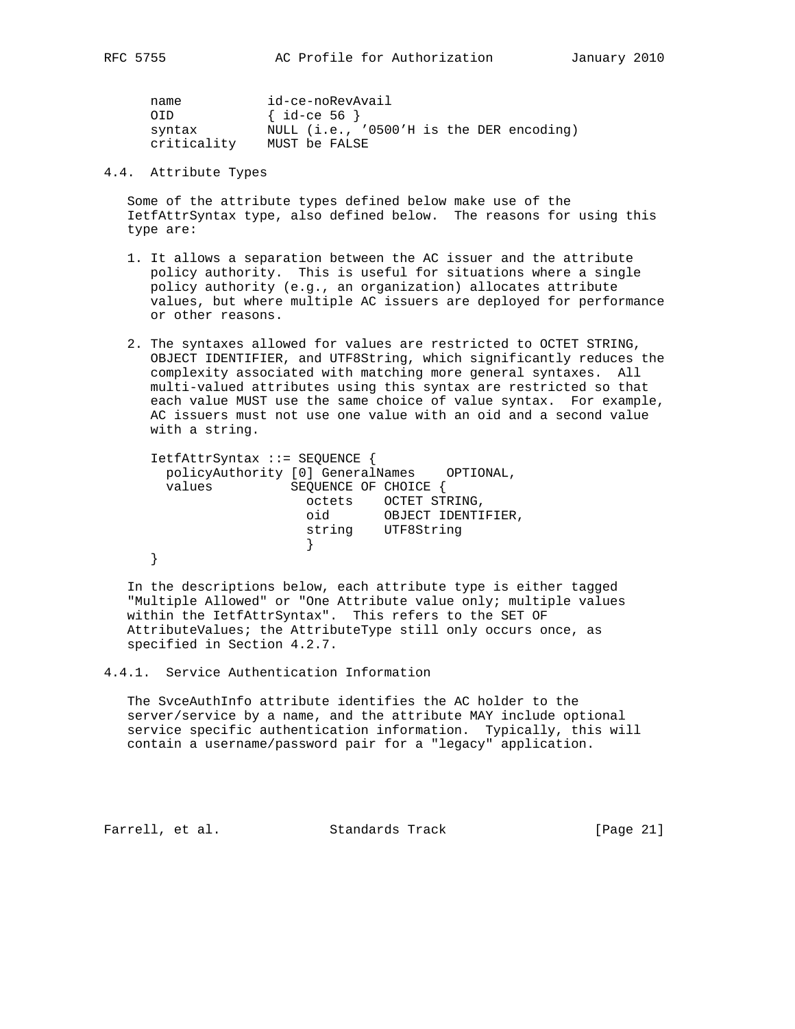| name        | id-ce-noRevAvail                         |
|-------------|------------------------------------------|
| OTD.        | $\{ id$ -ce 56 $\}$                      |
| syntax      | NULL (i.e., '0500'H is the DER encoding) |
| criticality | MUST be FALSE                            |

4.4. Attribute Types

 Some of the attribute types defined below make use of the IetfAttrSyntax type, also defined below. The reasons for using this type are:

- 1. It allows a separation between the AC issuer and the attribute policy authority. This is useful for situations where a single policy authority (e.g., an organization) allocates attribute values, but where multiple AC issuers are deployed for performance or other reasons.
- 2. The syntaxes allowed for values are restricted to OCTET STRING, OBJECT IDENTIFIER, and UTF8String, which significantly reduces the complexity associated with matching more general syntaxes. All multi-valued attributes using this syntax are restricted so that each value MUST use the same choice of value syntax. For example, AC issuers must not use one value with an oid and a second value with a string.

 IetfAttrSyntax ::= SEQUENCE { policyAuthority [0] GeneralNames OPTIONAL, values SEQUENCE OF CHOICE { octets OCTET STRING, oid OBJECT IDENTIFIER, string UTF8String } }

 In the descriptions below, each attribute type is either tagged "Multiple Allowed" or "One Attribute value only; multiple values within the IetfAttrSyntax". This refers to the SET OF AttributeValues; the AttributeType still only occurs once, as specified in Section 4.2.7.

4.4.1. Service Authentication Information

 The SvceAuthInfo attribute identifies the AC holder to the server/service by a name, and the attribute MAY include optional service specific authentication information. Typically, this will contain a username/password pair for a "legacy" application.

Farrell, et al. Standards Track [Page 21]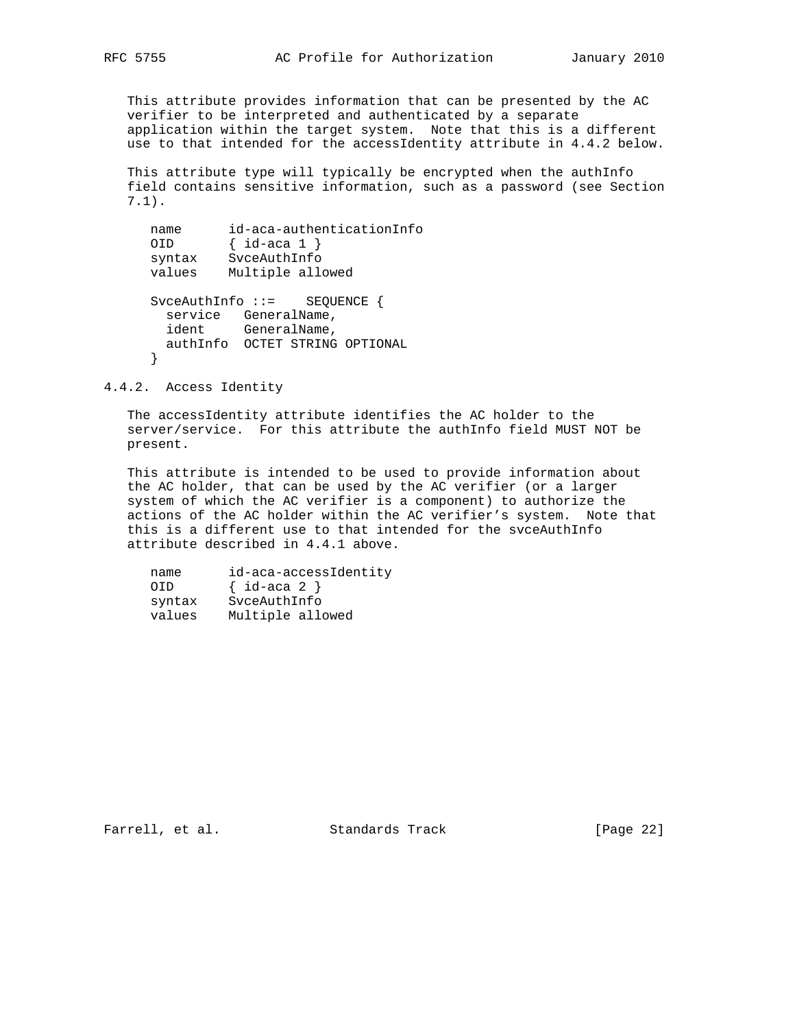This attribute provides information that can be presented by the AC verifier to be interpreted and authenticated by a separate application within the target system. Note that this is a different use to that intended for the accessIdentity attribute in 4.4.2 below.

 This attribute type will typically be encrypted when the authInfo field contains sensitive information, such as a password (see Section 7.1).

```
 name id-aca-authenticationInfo
     OID { id-aca 1 }
 syntax SvceAuthInfo
 values Multiple allowed
     SvceAuthInfo ::= SEQUENCE {
      service GeneralName,
       ident GeneralName,
       authInfo OCTET STRING OPTIONAL
      }
```
4.4.2. Access Identity

 The accessIdentity attribute identifies the AC holder to the server/service. For this attribute the authInfo field MUST NOT be present.

 This attribute is intended to be used to provide information about the AC holder, that can be used by the AC verifier (or a larger system of which the AC verifier is a component) to authorize the actions of the AC holder within the AC verifier's system. Note that this is a different use to that intended for the svceAuthInfo attribute described in 4.4.1 above.

| name   | id-aca-accessIdentity |
|--------|-----------------------|
| OTD.   | $\{ id$ -aca 2 $\}$   |
| syntax | SvceAuthInfo          |
| values | Multiple allowed      |

Farrell, et al. Standards Track [Page 22]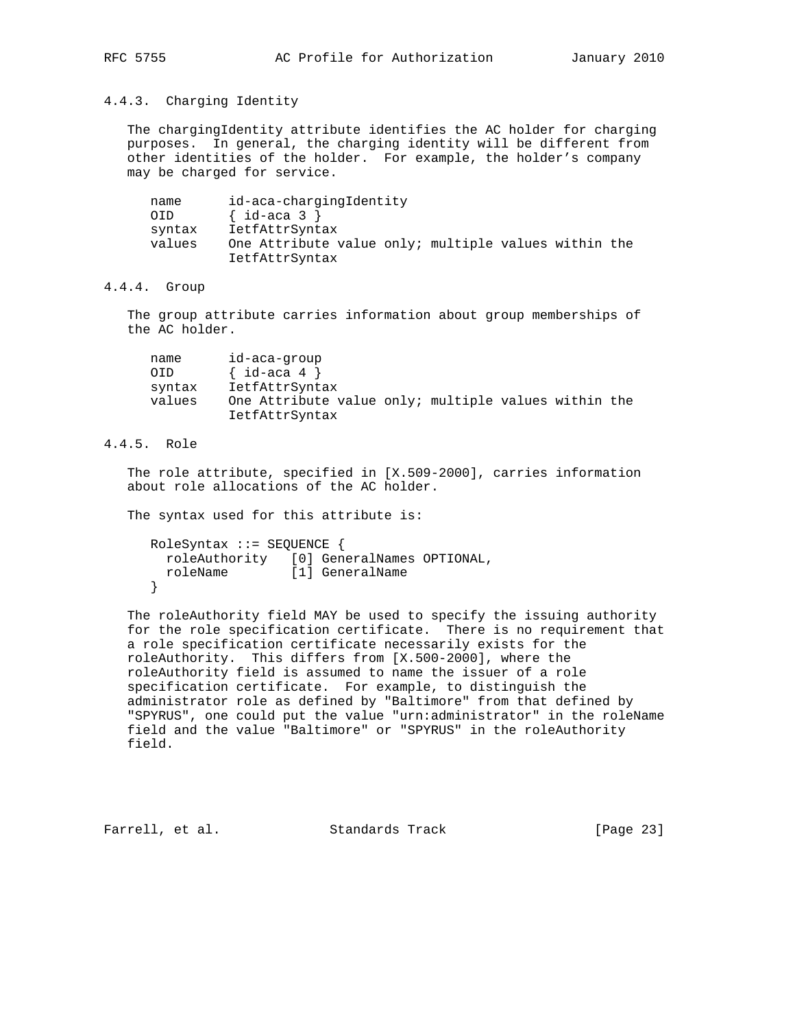# 4.4.3. Charging Identity

 The chargingIdentity attribute identifies the AC holder for charging purposes. In general, the charging identity will be different from other identities of the holder. For example, the holder's company may be charged for service.

| name |        | id-aca-chargingIdentity                              |
|------|--------|------------------------------------------------------|
| OID  |        | $\{ id$ -aca 3 $\}$                                  |
|      | syntax | IetfAttrSyntax                                       |
|      | values | One Attribute value only; multiple values within the |
|      |        | IetfAttrSyntax                                       |

## 4.4.4. Group

 The group attribute carries information about group memberships of the AC holder.

| name   | id-aca-group                                         |  |  |  |
|--------|------------------------------------------------------|--|--|--|
| 0ID    | $\{ id$ -aca 4 $\}$                                  |  |  |  |
| syntax | IetfAttrSyntax                                       |  |  |  |
| values | One Attribute value only; multiple values within the |  |  |  |
|        | IetfAttrSyntax                                       |  |  |  |

# 4.4.5. Role

 The role attribute, specified in [X.509-2000], carries information about role allocations of the AC holder.

The syntax used for this attribute is:

```
 RoleSyntax ::= SEQUENCE {
 roleAuthority [0] GeneralNames OPTIONAL,
  roleName [1] GeneralName
 }
```
 The roleAuthority field MAY be used to specify the issuing authority for the role specification certificate. There is no requirement that a role specification certificate necessarily exists for the roleAuthority. This differs from [X.500-2000], where the roleAuthority field is assumed to name the issuer of a role specification certificate. For example, to distinguish the administrator role as defined by "Baltimore" from that defined by "SPYRUS", one could put the value "urn:administrator" in the roleName field and the value "Baltimore" or "SPYRUS" in the roleAuthority field.

Farrell, et al. Standards Track [Page 23]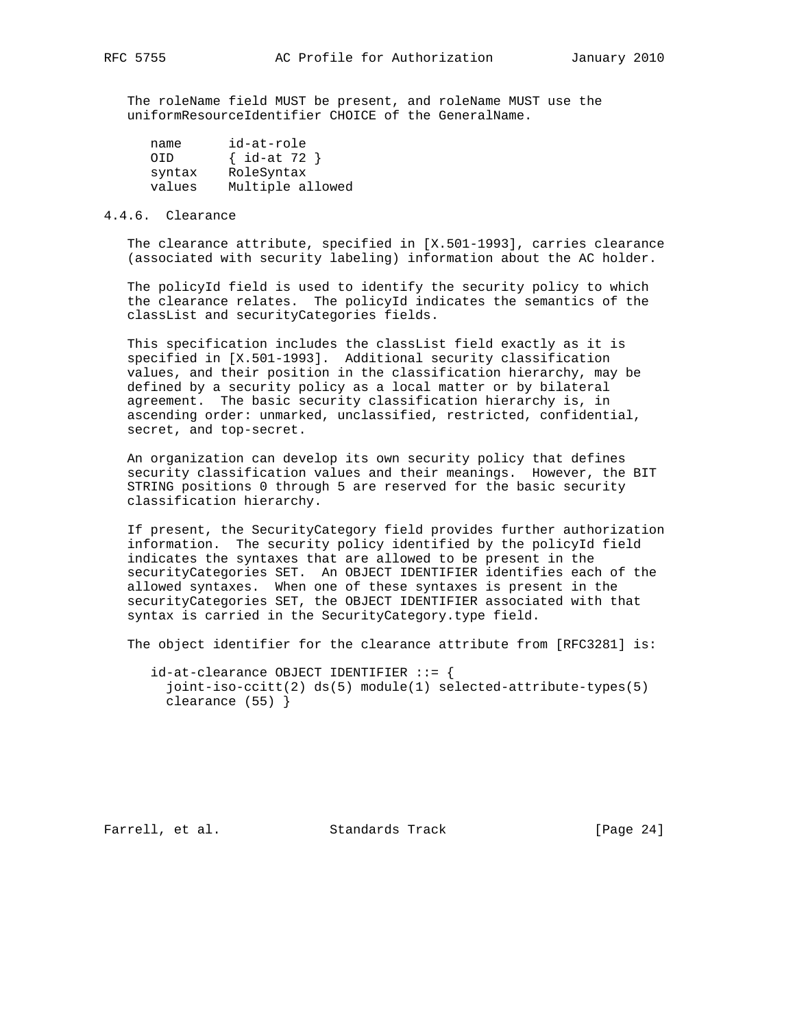The roleName field MUST be present, and roleName MUST use the uniformResourceIdentifier CHOICE of the GeneralName.

| name   | id-at-role       |
|--------|------------------|
| OTD.   | $\{ id$ -at 72 } |
| syntax | RoleSyntax       |
| values | Multiple allowed |

## 4.4.6. Clearance

 The clearance attribute, specified in [X.501-1993], carries clearance (associated with security labeling) information about the AC holder.

 The policyId field is used to identify the security policy to which the clearance relates. The policyId indicates the semantics of the classList and securityCategories fields.

This specification includes the classList field exactly as it is specified in [X.501-1993]. Additional security classification values, and their position in the classification hierarchy, may be defined by a security policy as a local matter or by bilateral agreement. The basic security classification hierarchy is, in ascending order: unmarked, unclassified, restricted, confidential, secret, and top-secret.

 An organization can develop its own security policy that defines security classification values and their meanings. However, the BIT STRING positions 0 through 5 are reserved for the basic security classification hierarchy.

 If present, the SecurityCategory field provides further authorization information. The security policy identified by the policyId field indicates the syntaxes that are allowed to be present in the securityCategories SET. An OBJECT IDENTIFIER identifies each of the allowed syntaxes. When one of these syntaxes is present in the securityCategories SET, the OBJECT IDENTIFIER associated with that syntax is carried in the SecurityCategory.type field.

The object identifier for the clearance attribute from [RFC3281] is:

 $id$ -at-clearance OBJECT IDENTIFIER ::= { joint-iso-ccitt(2) ds(5) module(1) selected-attribute-types(5) clearance (55) }

Farrell, et al. Standards Track [Page 24]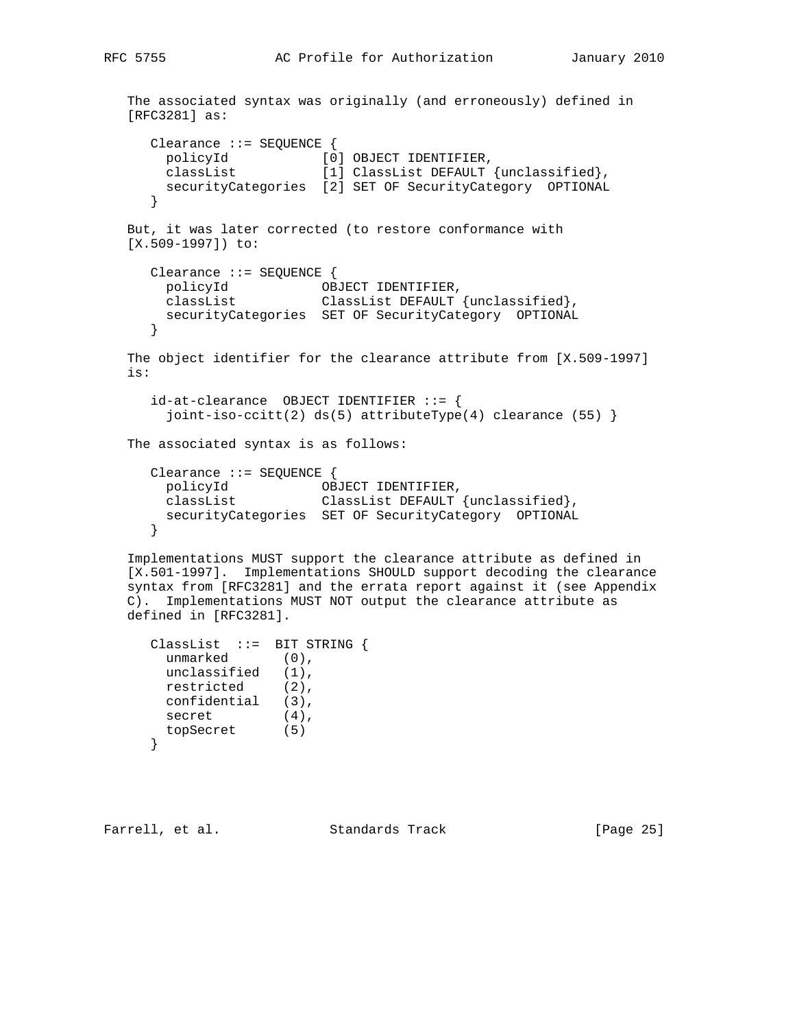```
 The associated syntax was originally (and erroneously) defined in
   [RFC3281] as:
      Clearance ::= SEQUENCE {
 policyId [0] OBJECT IDENTIFIER,
 classList [1] ClassList DEFAULT {unclassified},
       securityCategories [2] SET OF SecurityCategory OPTIONAL
      }
   But, it was later corrected (to restore conformance with
   [X.509-1997]) to:
      Clearance ::= SEQUENCE {
 policyId OBJECT IDENTIFIER,
 classList ClassList DEFAULT {unclassified},
 securityCategories SET OF SecurityCategory OPTIONAL
      }
   The object identifier for the clearance attribute from [X.509-1997]
   is:
      id-at-clearance OBJECT IDENTIFIER ::= {
       joint-iso-ccitt(2) ds(5) attributeType(4) clearance (55) \} The associated syntax is as follows:
      Clearance ::= SEQUENCE {
 policyId OBJECT IDENTIFIER,
 classList ClassList DEFAULT {unclassified},
       securityCategories SET OF SecurityCategory OPTIONAL
      }
   Implementations MUST support the clearance attribute as defined in
   [X.501-1997]. Implementations SHOULD support decoding the clearance
   syntax from [RFC3281] and the errata report against it (see Appendix
   C). Implementations MUST NOT output the clearance attribute as
   defined in [RFC3281].
```

```
 ClassList ::= BIT STRING {
     unmarked (0),
 unclassified (1),
restricted (2),
      confidential (3),
secret (4),
 topSecret (5)
     }
```
Farrell, et al. Standards Track [Page 25]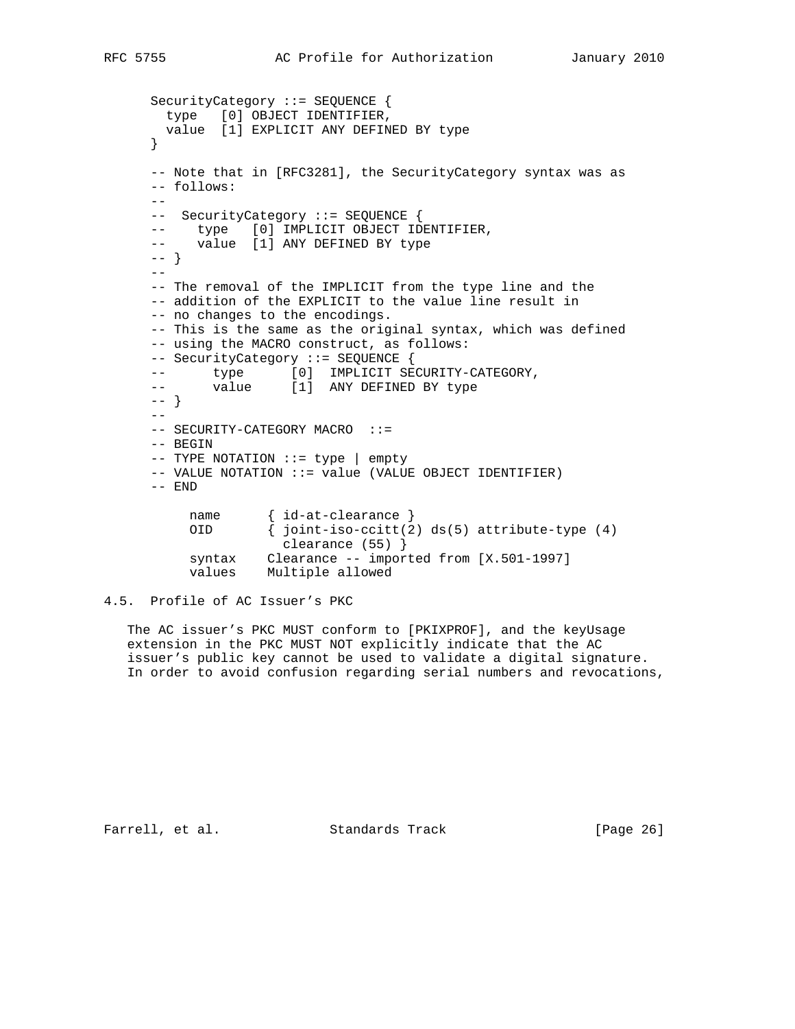```
 SecurityCategory ::= SEQUENCE {
 type [0] OBJECT IDENTIFIER,
 value [1] EXPLICIT ANY DEFINED BY type
      }
      -- Note that in [RFC3281], the SecurityCategory syntax was as
      -- follows:
     -- -- SecurityCategory ::= SEQUENCE {
 -- type [0] IMPLICIT OBJECT IDENTIFIER,
 -- value [1] ANY DEFINED BY type
      -- }
     - -- The removal of the IMPLICIT from the type line and the
      -- addition of the EXPLICIT to the value line result in
      -- no changes to the encodings.
      -- This is the same as the original syntax, which was defined
      -- using the MACRO construct, as follows:
      -- SecurityCategory ::= SEQUENCE {
     -- type [0] IMPLICIT SECURITY-CATEGORY,
     -- value [1] ANY DEFINED BY type
      -- }
     -\frac{1}{2}-- SECURITY-CATEGORY MACRO ::=
      -- BEGIN
      -- TYPE NOTATION ::= type | empty
      -- VALUE NOTATION ::= value (VALUE OBJECT IDENTIFIER)
      -- END
          name { id-at-clearance }<br>OID { joint-iso-ccitt(2
                   \{ joint-iso-ccitt(2) ds(5) attribute-type (4)
                       clearance (55) }
           syntax Clearance -- imported from [X.501-1997]
           values Multiple allowed
```

```
4.5. Profile of AC Issuer's PKC
```
 The AC issuer's PKC MUST conform to [PKIXPROF], and the keyUsage extension in the PKC MUST NOT explicitly indicate that the AC issuer's public key cannot be used to validate a digital signature. In order to avoid confusion regarding serial numbers and revocations,

Farrell, et al. Standards Track [Page 26]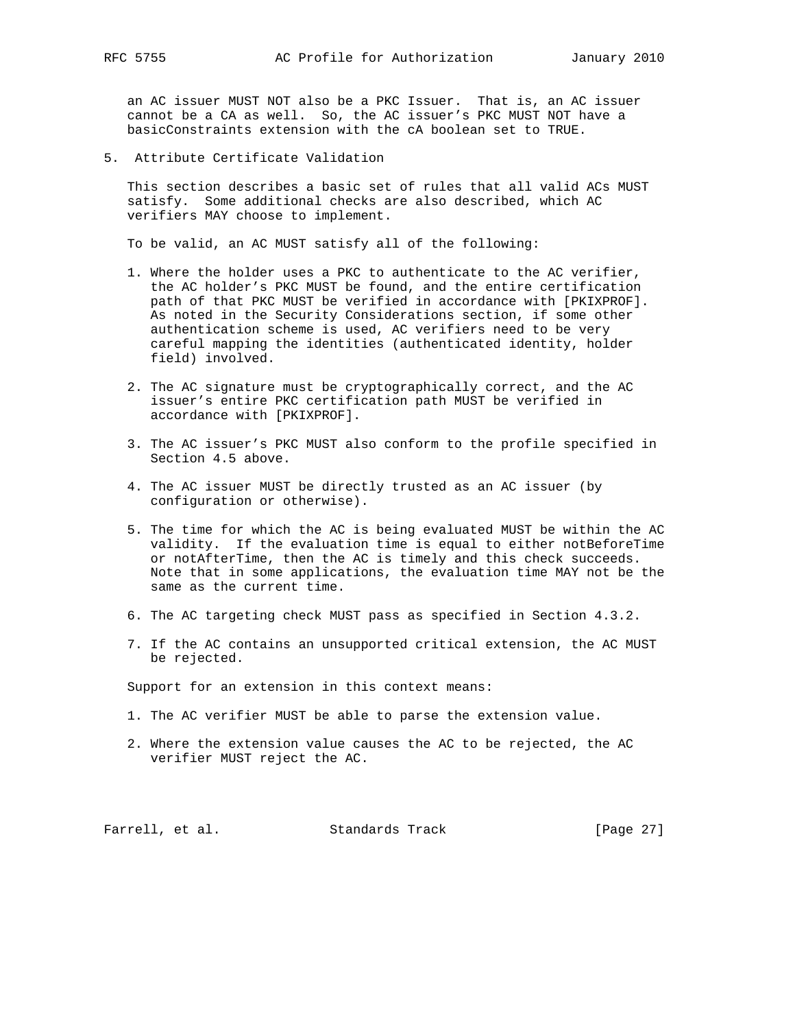an AC issuer MUST NOT also be a PKC Issuer. That is, an AC issuer cannot be a CA as well. So, the AC issuer's PKC MUST NOT have a basicConstraints extension with the cA boolean set to TRUE.

5. Attribute Certificate Validation

 This section describes a basic set of rules that all valid ACs MUST satisfy. Some additional checks are also described, which AC verifiers MAY choose to implement.

To be valid, an AC MUST satisfy all of the following:

- 1. Where the holder uses a PKC to authenticate to the AC verifier, the AC holder's PKC MUST be found, and the entire certification path of that PKC MUST be verified in accordance with [PKIXPROF]. As noted in the Security Considerations section, if some other authentication scheme is used, AC verifiers need to be very careful mapping the identities (authenticated identity, holder field) involved.
- 2. The AC signature must be cryptographically correct, and the AC issuer's entire PKC certification path MUST be verified in accordance with [PKIXPROF].
- 3. The AC issuer's PKC MUST also conform to the profile specified in Section 4.5 above.
- 4. The AC issuer MUST be directly trusted as an AC issuer (by configuration or otherwise).
- 5. The time for which the AC is being evaluated MUST be within the AC validity. If the evaluation time is equal to either notBeforeTime or notAfterTime, then the AC is timely and this check succeeds. Note that in some applications, the evaluation time MAY not be the same as the current time.
- 6. The AC targeting check MUST pass as specified in Section 4.3.2.
- 7. If the AC contains an unsupported critical extension, the AC MUST be rejected.

Support for an extension in this context means:

- 1. The AC verifier MUST be able to parse the extension value.
- 2. Where the extension value causes the AC to be rejected, the AC verifier MUST reject the AC.

Farrell, et al. Standards Track [Page 27]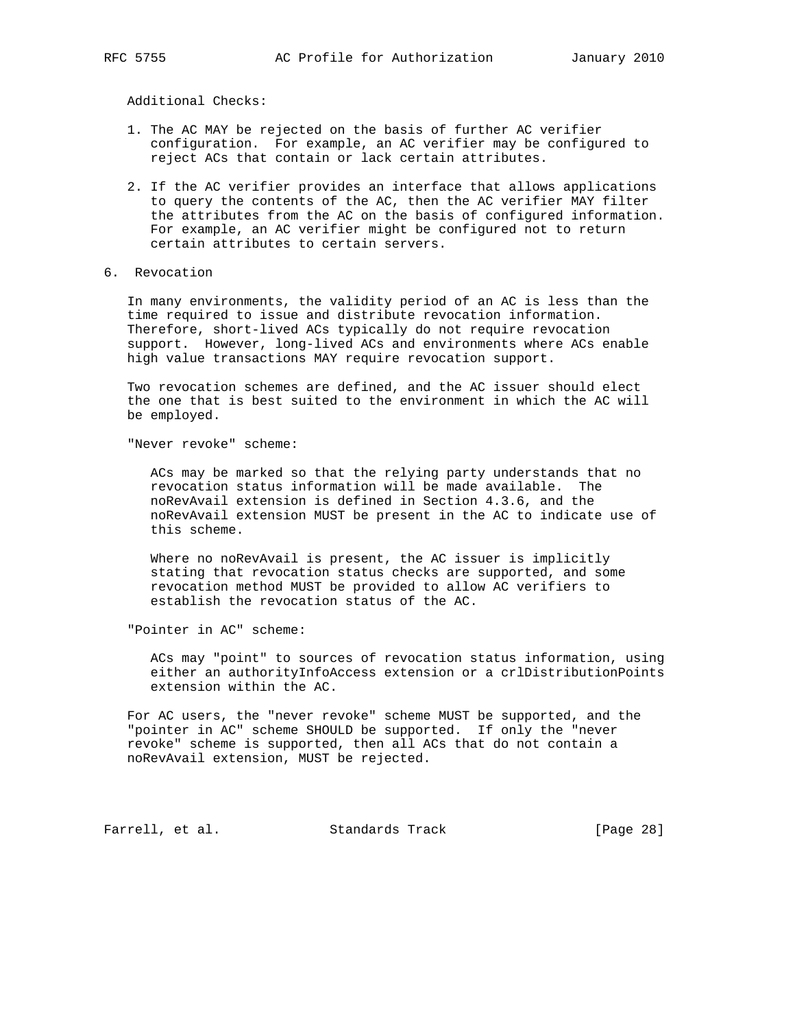Additional Checks:

- 1. The AC MAY be rejected on the basis of further AC verifier configuration. For example, an AC verifier may be configured to reject ACs that contain or lack certain attributes.
- 2. If the AC verifier provides an interface that allows applications to query the contents of the AC, then the AC verifier MAY filter the attributes from the AC on the basis of configured information. For example, an AC verifier might be configured not to return certain attributes to certain servers.
- 6. Revocation

 In many environments, the validity period of an AC is less than the time required to issue and distribute revocation information. Therefore, short-lived ACs typically do not require revocation support. However, long-lived ACs and environments where ACs enable high value transactions MAY require revocation support.

 Two revocation schemes are defined, and the AC issuer should elect the one that is best suited to the environment in which the AC will be employed.

"Never revoke" scheme:

 ACs may be marked so that the relying party understands that no revocation status information will be made available. The noRevAvail extension is defined in Section 4.3.6, and the noRevAvail extension MUST be present in the AC to indicate use of this scheme.

 Where no noRevAvail is present, the AC issuer is implicitly stating that revocation status checks are supported, and some revocation method MUST be provided to allow AC verifiers to establish the revocation status of the AC.

"Pointer in AC" scheme:

 ACs may "point" to sources of revocation status information, using either an authorityInfoAccess extension or a crlDistributionPoints extension within the AC.

 For AC users, the "never revoke" scheme MUST be supported, and the "pointer in AC" scheme SHOULD be supported. If only the "never revoke" scheme is supported, then all ACs that do not contain a noRevAvail extension, MUST be rejected.

Farrell, et al. Standards Track [Page 28]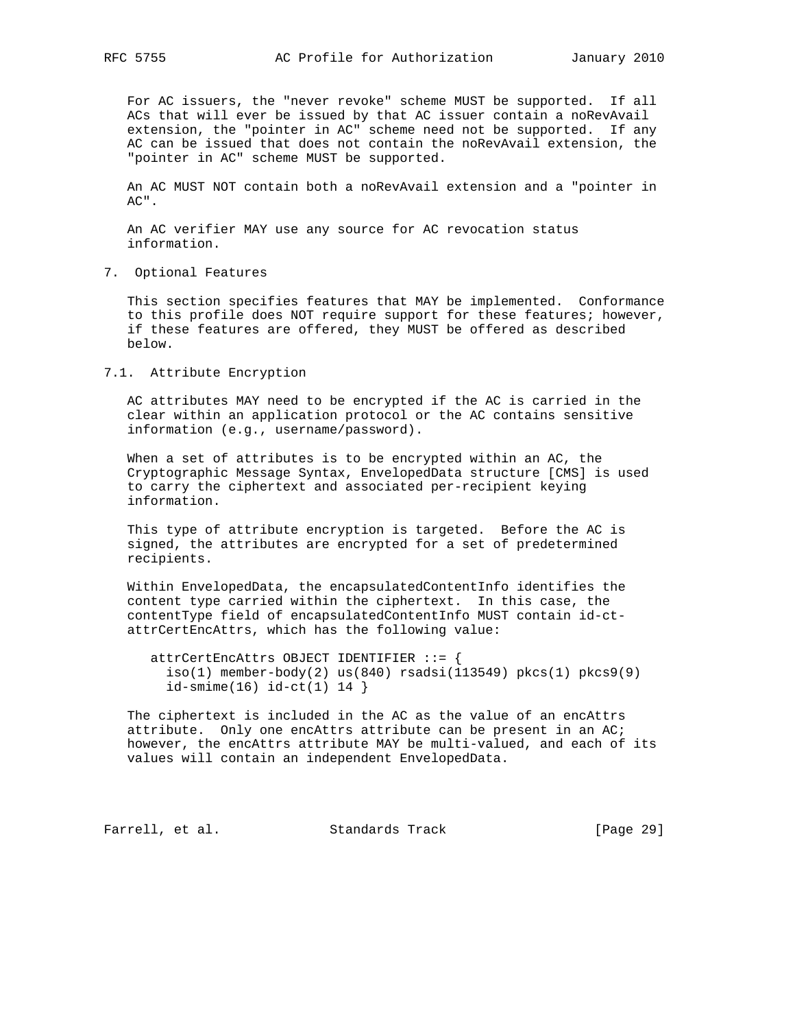For AC issuers, the "never revoke" scheme MUST be supported. If all ACs that will ever be issued by that AC issuer contain a noRevAvail extension, the "pointer in AC" scheme need not be supported. If any AC can be issued that does not contain the noRevAvail extension, the "pointer in AC" scheme MUST be supported.

 An AC MUST NOT contain both a noRevAvail extension and a "pointer in AC".

 An AC verifier MAY use any source for AC revocation status information.

7. Optional Features

 This section specifies features that MAY be implemented. Conformance to this profile does NOT require support for these features; however, if these features are offered, they MUST be offered as described below.

7.1. Attribute Encryption

 AC attributes MAY need to be encrypted if the AC is carried in the clear within an application protocol or the AC contains sensitive information (e.g., username/password).

 When a set of attributes is to be encrypted within an AC, the Cryptographic Message Syntax, EnvelopedData structure [CMS] is used to carry the ciphertext and associated per-recipient keying information.

 This type of attribute encryption is targeted. Before the AC is signed, the attributes are encrypted for a set of predetermined recipients.

 Within EnvelopedData, the encapsulatedContentInfo identifies the content type carried within the ciphertext. In this case, the contentType field of encapsulatedContentInfo MUST contain id-ct attrCertEncAttrs, which has the following value:

 attrCertEncAttrs OBJECT IDENTIFIER ::= {  $iso(1)$  member-body(2) us(840) rsadsi(113549) pkcs(1) pkcs9(9) id-smime(16) id-ct(1) 14 }

 The ciphertext is included in the AC as the value of an encAttrs attribute. Only one encAttrs attribute can be present in an AC; however, the encAttrs attribute MAY be multi-valued, and each of its values will contain an independent EnvelopedData.

Farrell, et al. Standards Track [Page 29]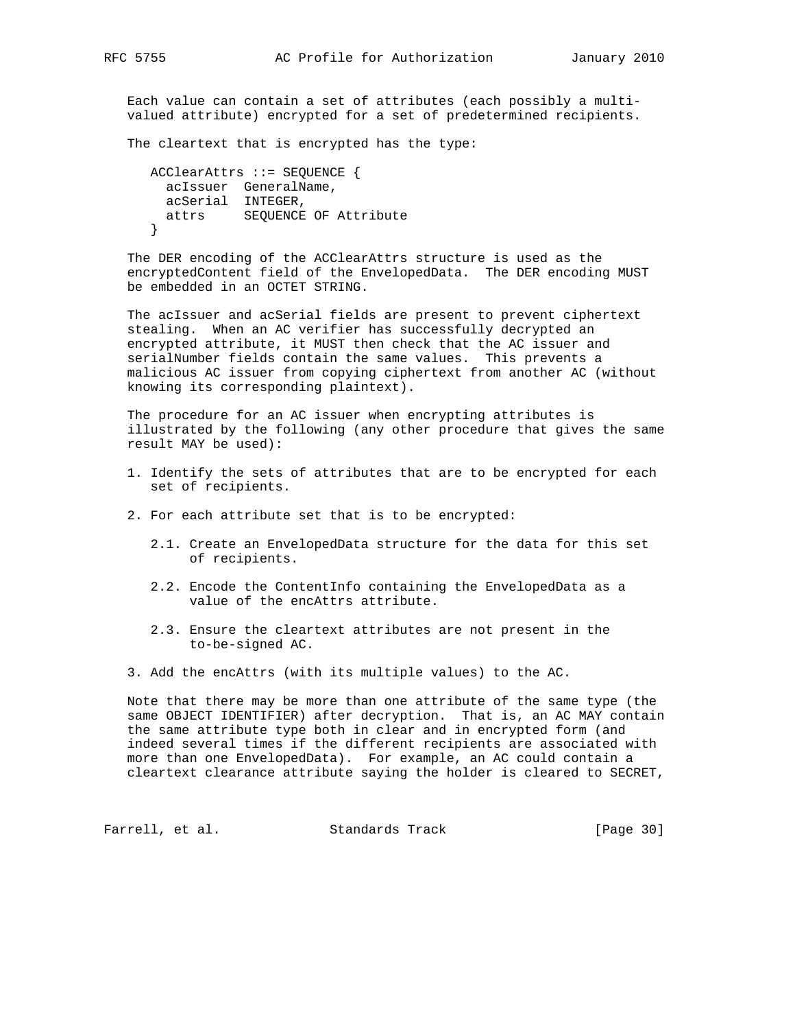Each value can contain a set of attributes (each possibly a multi valued attribute) encrypted for a set of predetermined recipients.

The cleartext that is encrypted has the type:

```
 ACClearAttrs ::= SEQUENCE {
  acIssuer GeneralName,
  acSerial INTEGER,
  attrs SEQUENCE OF Attribute
 }
```
 The DER encoding of the ACClearAttrs structure is used as the encryptedContent field of the EnvelopedData. The DER encoding MUST be embedded in an OCTET STRING.

 The acIssuer and acSerial fields are present to prevent ciphertext stealing. When an AC verifier has successfully decrypted an encrypted attribute, it MUST then check that the AC issuer and serialNumber fields contain the same values. This prevents a malicious AC issuer from copying ciphertext from another AC (without knowing its corresponding plaintext).

 The procedure for an AC issuer when encrypting attributes is illustrated by the following (any other procedure that gives the same result MAY be used):

- 1. Identify the sets of attributes that are to be encrypted for each set of recipients.
- 2. For each attribute set that is to be encrypted:
	- 2.1. Create an EnvelopedData structure for the data for this set of recipients.
	- 2.2. Encode the ContentInfo containing the EnvelopedData as a value of the encAttrs attribute.
	- 2.3. Ensure the cleartext attributes are not present in the to-be-signed AC.
- 3. Add the encAttrs (with its multiple values) to the AC.

 Note that there may be more than one attribute of the same type (the same OBJECT IDENTIFIER) after decryption. That is, an AC MAY contain the same attribute type both in clear and in encrypted form (and indeed several times if the different recipients are associated with more than one EnvelopedData). For example, an AC could contain a cleartext clearance attribute saying the holder is cleared to SECRET,

Farrell, et al. Standards Track [Page 30]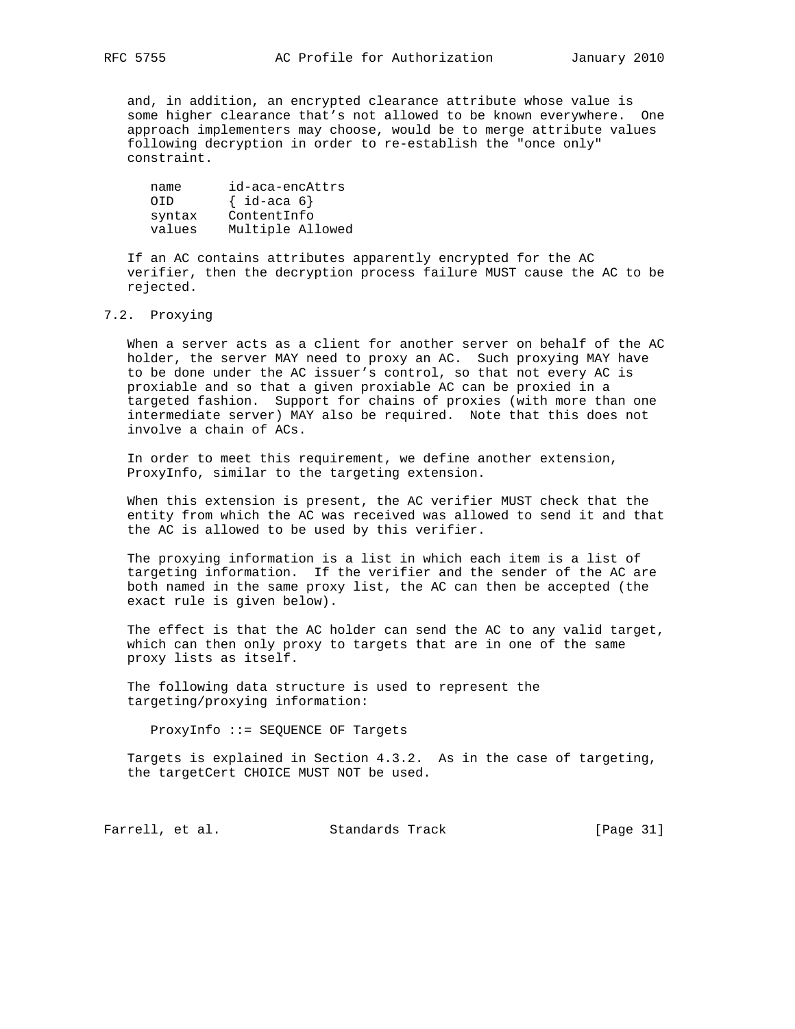and, in addition, an encrypted clearance attribute whose value is some higher clearance that's not allowed to be known everywhere. One approach implementers may choose, would be to merge attribute values following decryption in order to re-establish the "once only" constraint.

| name   | id-aca-encAttrs     |
|--------|---------------------|
| OTD.   | $\{ id$ -aca 6 $\}$ |
| syntax | ContentInfo         |
| values | Multiple Allowed    |

 If an AC contains attributes apparently encrypted for the AC verifier, then the decryption process failure MUST cause the AC to be rejected.

# 7.2. Proxying

 When a server acts as a client for another server on behalf of the AC holder, the server MAY need to proxy an AC. Such proxying MAY have to be done under the AC issuer's control, so that not every AC is proxiable and so that a given proxiable AC can be proxied in a targeted fashion. Support for chains of proxies (with more than one intermediate server) MAY also be required. Note that this does not involve a chain of ACs.

 In order to meet this requirement, we define another extension, ProxyInfo, similar to the targeting extension.

 When this extension is present, the AC verifier MUST check that the entity from which the AC was received was allowed to send it and that the AC is allowed to be used by this verifier.

 The proxying information is a list in which each item is a list of targeting information. If the verifier and the sender of the AC are both named in the same proxy list, the AC can then be accepted (the exact rule is given below).

 The effect is that the AC holder can send the AC to any valid target, which can then only proxy to targets that are in one of the same proxy lists as itself.

 The following data structure is used to represent the targeting/proxying information:

ProxyInfo ::= SEQUENCE OF Targets

 Targets is explained in Section 4.3.2. As in the case of targeting, the targetCert CHOICE MUST NOT be used.

Farrell, et al. Standards Track [Page 31]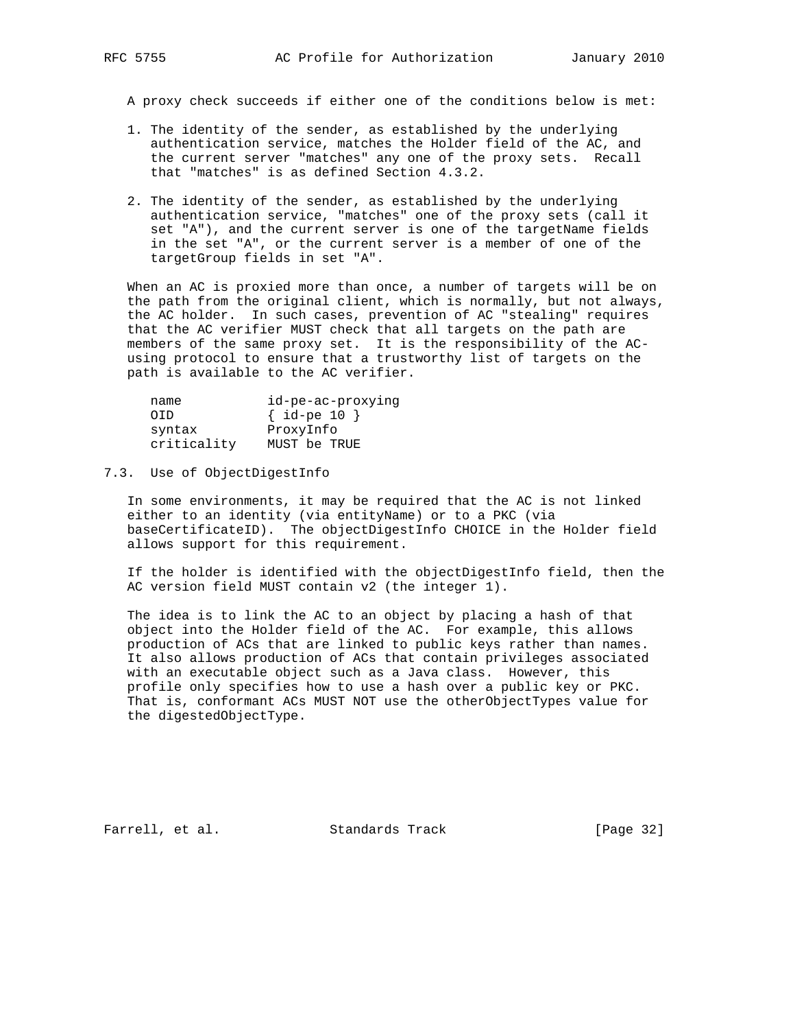A proxy check succeeds if either one of the conditions below is met:

- 1. The identity of the sender, as established by the underlying authentication service, matches the Holder field of the AC, and the current server "matches" any one of the proxy sets. Recall that "matches" is as defined Section 4.3.2.
- 2. The identity of the sender, as established by the underlying authentication service, "matches" one of the proxy sets (call it set "A"), and the current server is one of the targetName fields in the set "A", or the current server is a member of one of the targetGroup fields in set "A".

 When an AC is proxied more than once, a number of targets will be on the path from the original client, which is normally, but not always, the AC holder. In such cases, prevention of AC "stealing" requires that the AC verifier MUST check that all targets on the path are members of the same proxy set. It is the responsibility of the AC using protocol to ensure that a trustworthy list of targets on the path is available to the AC verifier.

| name        | id-pe-ac-proxying |
|-------------|-------------------|
| OTD.        | $\{ id-pe 10 \}$  |
| syntax      | ProxyInfo         |
| criticality | MUST be TRUE      |

#### 7.3. Use of ObjectDigestInfo

 In some environments, it may be required that the AC is not linked either to an identity (via entityName) or to a PKC (via baseCertificateID). The objectDigestInfo CHOICE in the Holder field allows support for this requirement.

 If the holder is identified with the objectDigestInfo field, then the AC version field MUST contain v2 (the integer 1).

 The idea is to link the AC to an object by placing a hash of that object into the Holder field of the AC. For example, this allows production of ACs that are linked to public keys rather than names. It also allows production of ACs that contain privileges associated with an executable object such as a Java class. However, this profile only specifies how to use a hash over a public key or PKC. That is, conformant ACs MUST NOT use the otherObjectTypes value for the digestedObjectType.

Farrell, et al. Standards Track [Page 32]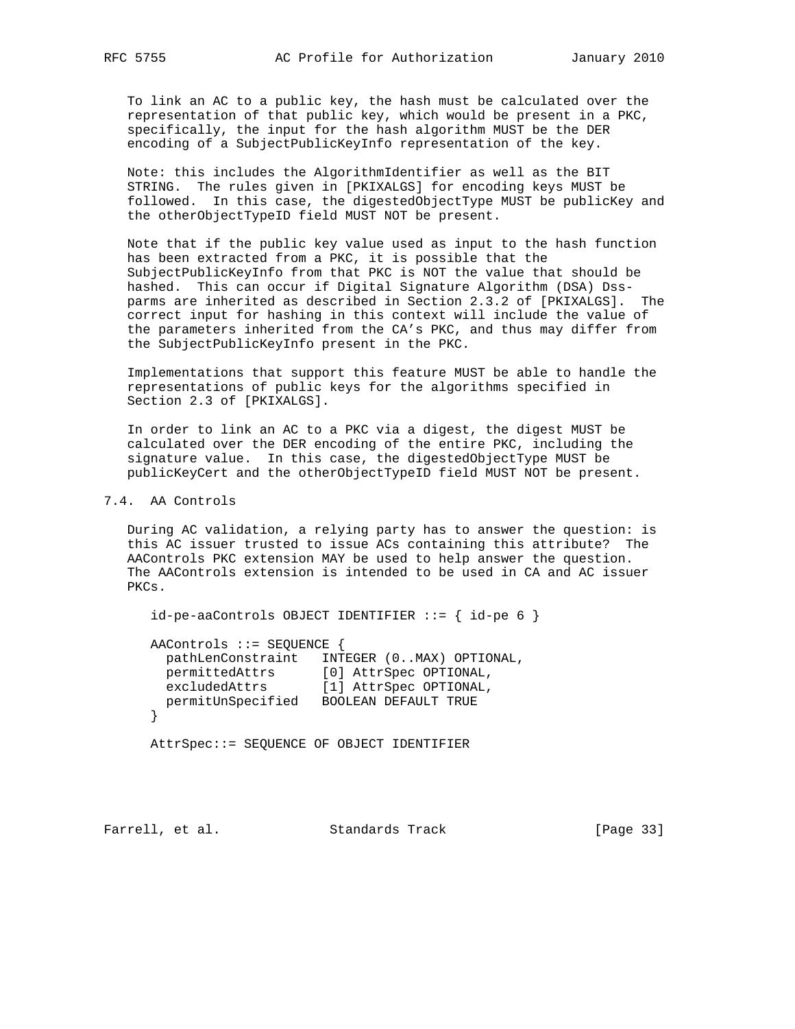To link an AC to a public key, the hash must be calculated over the representation of that public key, which would be present in a PKC, specifically, the input for the hash algorithm MUST be the DER encoding of a SubjectPublicKeyInfo representation of the key.

 Note: this includes the AlgorithmIdentifier as well as the BIT STRING. The rules given in [PKIXALGS] for encoding keys MUST be followed. In this case, the digestedObjectType MUST be publicKey and the otherObjectTypeID field MUST NOT be present.

 Note that if the public key value used as input to the hash function has been extracted from a PKC, it is possible that the SubjectPublicKeyInfo from that PKC is NOT the value that should be hashed. This can occur if Digital Signature Algorithm (DSA) Dss parms are inherited as described in Section 2.3.2 of [PKIXALGS]. The correct input for hashing in this context will include the value of the parameters inherited from the CA's PKC, and thus may differ from the SubjectPublicKeyInfo present in the PKC.

 Implementations that support this feature MUST be able to handle the representations of public keys for the algorithms specified in Section 2.3 of [PKIXALGS].

 In order to link an AC to a PKC via a digest, the digest MUST be calculated over the DER encoding of the entire PKC, including the signature value. In this case, the digestedObjectType MUST be publicKeyCert and the otherObjectTypeID field MUST NOT be present.

7.4. AA Controls

 During AC validation, a relying party has to answer the question: is this AC issuer trusted to issue ACs containing this attribute? The AAControls PKC extension MAY be used to help answer the question. The AAControls extension is intended to be used in CA and AC issuer PKCs.

 $id-pe-aaControls OBJECT IDENTIFYER ::= { id-pe 6 }$ 

 AAControls ::= SEQUENCE { pathLenConstraint INTEGER (0..MAX) OPTIONAL, permittedAttrs [0] AttrSpec OPTIONAL, excludedAttrs [1] AttrSpec OPTIONAL, permitUnSpecified BOOLEAN DEFAULT TRUE }

AttrSpec::= SEQUENCE OF OBJECT IDENTIFIER

Farrell, et al. Standards Track [Page 33]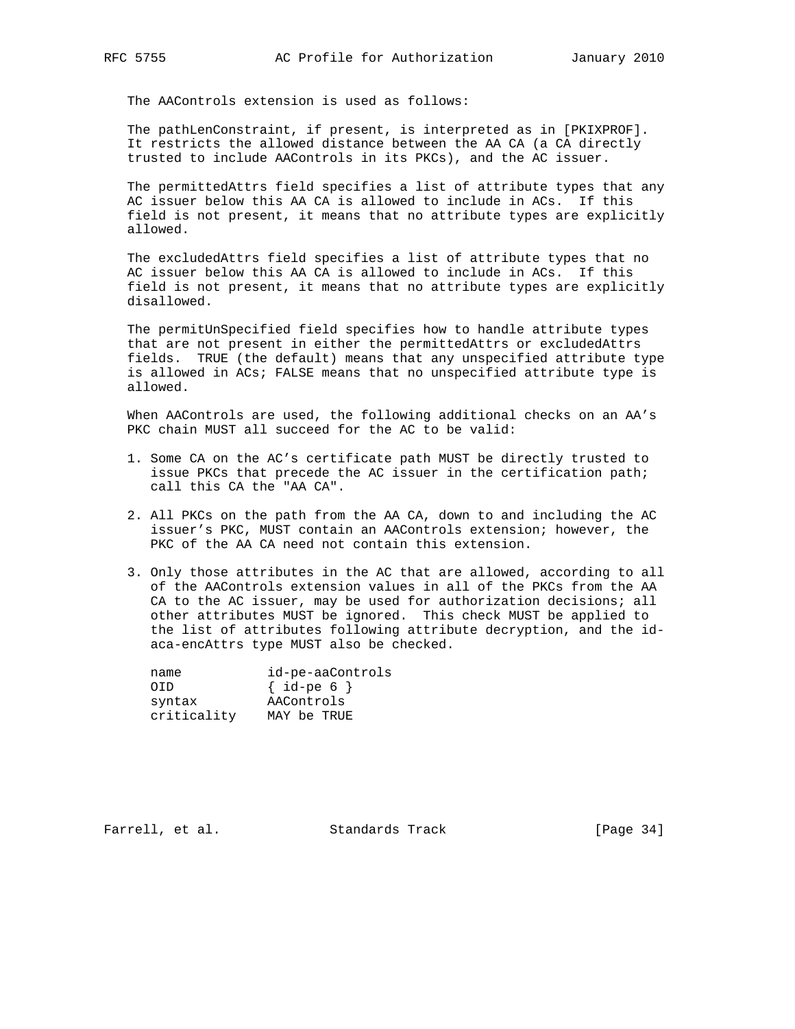The AAControls extension is used as follows:

 The pathLenConstraint, if present, is interpreted as in [PKIXPROF]. It restricts the allowed distance between the AA CA (a CA directly trusted to include AAControls in its PKCs), and the AC issuer.

 The permittedAttrs field specifies a list of attribute types that any AC issuer below this AA CA is allowed to include in ACs. If this field is not present, it means that no attribute types are explicitly allowed.

 The excludedAttrs field specifies a list of attribute types that no AC issuer below this AA CA is allowed to include in ACs. If this field is not present, it means that no attribute types are explicitly disallowed.

 The permitUnSpecified field specifies how to handle attribute types that are not present in either the permittedAttrs or excludedAttrs fields. TRUE (the default) means that any unspecified attribute type is allowed in ACs; FALSE means that no unspecified attribute type is allowed.

 When AAControls are used, the following additional checks on an AA's PKC chain MUST all succeed for the AC to be valid:

- 1. Some CA on the AC's certificate path MUST be directly trusted to issue PKCs that precede the AC issuer in the certification path; call this CA the "AA CA".
- 2. All PKCs on the path from the AA CA, down to and including the AC issuer's PKC, MUST contain an AAControls extension; however, the PKC of the AA CA need not contain this extension.
- 3. Only those attributes in the AC that are allowed, according to all of the AAControls extension values in all of the PKCs from the AA CA to the AC issuer, may be used for authorization decisions; all other attributes MUST be ignored. This check MUST be applied to the list of attributes following attribute decryption, and the id aca-encAttrs type MUST also be checked.

| name        | id-pe-aaControls |
|-------------|------------------|
| OTD.        | $\{ id-pe 6 \}$  |
| syntax      | AAControls       |
| criticality | MAY be TRUE      |

Farrell, et al. Standards Track [Page 34]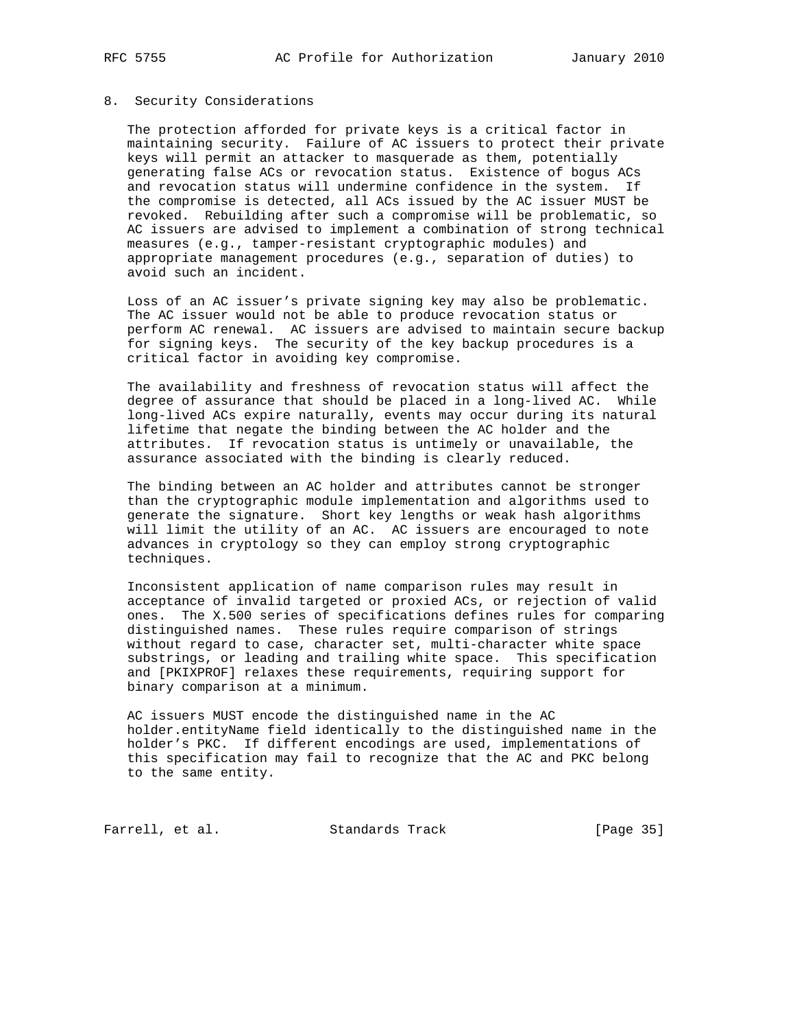## 8. Security Considerations

 The protection afforded for private keys is a critical factor in maintaining security. Failure of AC issuers to protect their private keys will permit an attacker to masquerade as them, potentially generating false ACs or revocation status. Existence of bogus ACs and revocation status will undermine confidence in the system. If the compromise is detected, all ACs issued by the AC issuer MUST be revoked. Rebuilding after such a compromise will be problematic, so AC issuers are advised to implement a combination of strong technical measures (e.g., tamper-resistant cryptographic modules) and appropriate management procedures (e.g., separation of duties) to avoid such an incident.

 Loss of an AC issuer's private signing key may also be problematic. The AC issuer would not be able to produce revocation status or perform AC renewal. AC issuers are advised to maintain secure backup for signing keys. The security of the key backup procedures is a critical factor in avoiding key compromise.

 The availability and freshness of revocation status will affect the degree of assurance that should be placed in a long-lived AC. While long-lived ACs expire naturally, events may occur during its natural lifetime that negate the binding between the AC holder and the attributes. If revocation status is untimely or unavailable, the assurance associated with the binding is clearly reduced.

 The binding between an AC holder and attributes cannot be stronger than the cryptographic module implementation and algorithms used to generate the signature. Short key lengths or weak hash algorithms will limit the utility of an AC. AC issuers are encouraged to note advances in cryptology so they can employ strong cryptographic techniques.

 Inconsistent application of name comparison rules may result in acceptance of invalid targeted or proxied ACs, or rejection of valid ones. The X.500 series of specifications defines rules for comparing distinguished names. These rules require comparison of strings without regard to case, character set, multi-character white space substrings, or leading and trailing white space. This specification and [PKIXPROF] relaxes these requirements, requiring support for binary comparison at a minimum.

 AC issuers MUST encode the distinguished name in the AC holder.entityName field identically to the distinguished name in the holder's PKC. If different encodings are used, implementations of this specification may fail to recognize that the AC and PKC belong to the same entity.

Farrell, et al. Standards Track [Page 35]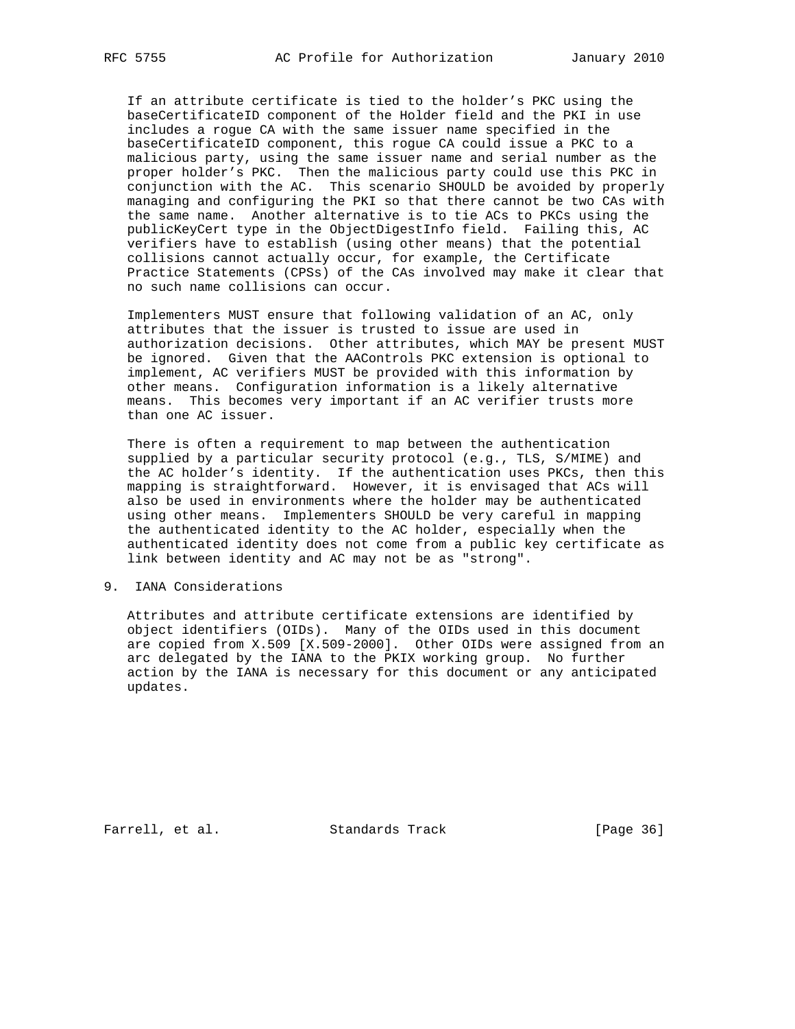If an attribute certificate is tied to the holder's PKC using the baseCertificateID component of the Holder field and the PKI in use includes a rogue CA with the same issuer name specified in the baseCertificateID component, this rogue CA could issue a PKC to a malicious party, using the same issuer name and serial number as the proper holder's PKC. Then the malicious party could use this PKC in conjunction with the AC. This scenario SHOULD be avoided by properly managing and configuring the PKI so that there cannot be two CAs with the same name. Another alternative is to tie ACs to PKCs using the publicKeyCert type in the ObjectDigestInfo field. Failing this, AC verifiers have to establish (using other means) that the potential collisions cannot actually occur, for example, the Certificate Practice Statements (CPSs) of the CAs involved may make it clear that no such name collisions can occur.

 Implementers MUST ensure that following validation of an AC, only attributes that the issuer is trusted to issue are used in authorization decisions. Other attributes, which MAY be present MUST be ignored. Given that the AAControls PKC extension is optional to implement, AC verifiers MUST be provided with this information by other means. Configuration information is a likely alternative means. This becomes very important if an AC verifier trusts more than one AC issuer.

 There is often a requirement to map between the authentication supplied by a particular security protocol (e.g., TLS, S/MIME) and the AC holder's identity. If the authentication uses PKCs, then this mapping is straightforward. However, it is envisaged that ACs will also be used in environments where the holder may be authenticated using other means. Implementers SHOULD be very careful in mapping the authenticated identity to the AC holder, especially when the authenticated identity does not come from a public key certificate as link between identity and AC may not be as "strong".

#### 9. IANA Considerations

 Attributes and attribute certificate extensions are identified by object identifiers (OIDs). Many of the OIDs used in this document are copied from X.509 [X.509-2000]. Other OIDs were assigned from an arc delegated by the IANA to the PKIX working group. No further action by the IANA is necessary for this document or any anticipated updates.

Farrell, et al. Standards Track [Page 36]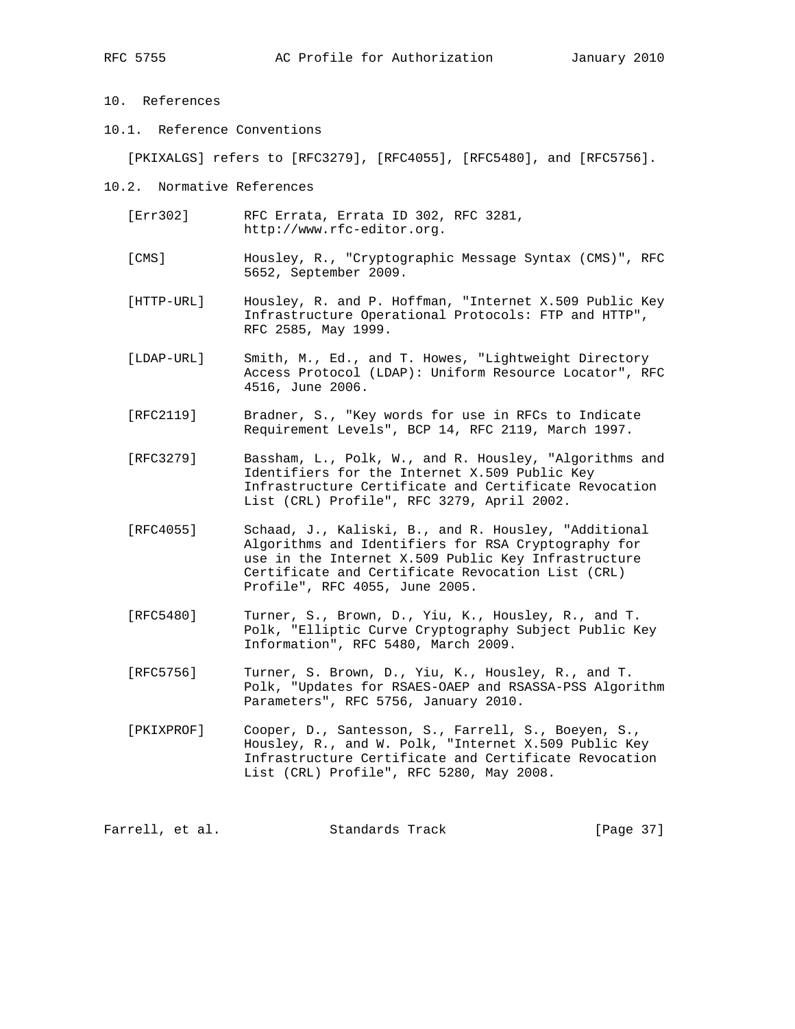# 10. References

10.1. Reference Conventions

[PKIXALGS] refers to [RFC3279], [RFC4055], [RFC5480], and [RFC5756].

- 10.2. Normative References
	- [Err302] RFC Errata, Errata ID 302, RFC 3281, http://www.rfc-editor.org.
	- [CMS] Housley, R., "Cryptographic Message Syntax (CMS)", RFC 5652, September 2009.
	- [HTTP-URL] Housley, R. and P. Hoffman, "Internet X.509 Public Key Infrastructure Operational Protocols: FTP and HTTP", RFC 2585, May 1999.
	- [LDAP-URL] Smith, M., Ed., and T. Howes, "Lightweight Directory Access Protocol (LDAP): Uniform Resource Locator", RFC 4516, June 2006.
	- [RFC2119] Bradner, S., "Key words for use in RFCs to Indicate Requirement Levels", BCP 14, RFC 2119, March 1997.
	- [RFC3279] Bassham, L., Polk, W., and R. Housley, "Algorithms and Identifiers for the Internet X.509 Public Key Infrastructure Certificate and Certificate Revocation List (CRL) Profile", RFC 3279, April 2002.
	- [RFC4055] Schaad, J., Kaliski, B., and R. Housley, "Additional Algorithms and Identifiers for RSA Cryptography for use in the Internet X.509 Public Key Infrastructure Certificate and Certificate Revocation List (CRL) Profile", RFC 4055, June 2005.
	- [RFC5480] Turner, S., Brown, D., Yiu, K., Housley, R., and T. Polk, "Elliptic Curve Cryptography Subject Public Key Information", RFC 5480, March 2009.
	- [RFC5756] Turner, S. Brown, D., Yiu, K., Housley, R., and T. Polk, "Updates for RSAES-OAEP and RSASSA-PSS Algorithm Parameters", RFC 5756, January 2010.
	- [PKIXPROF] Cooper, D., Santesson, S., Farrell, S., Boeyen, S., Housley, R., and W. Polk, "Internet X.509 Public Key Infrastructure Certificate and Certificate Revocation List (CRL) Profile", RFC 5280, May 2008.

Farrell, et al. Standards Track [Page 37]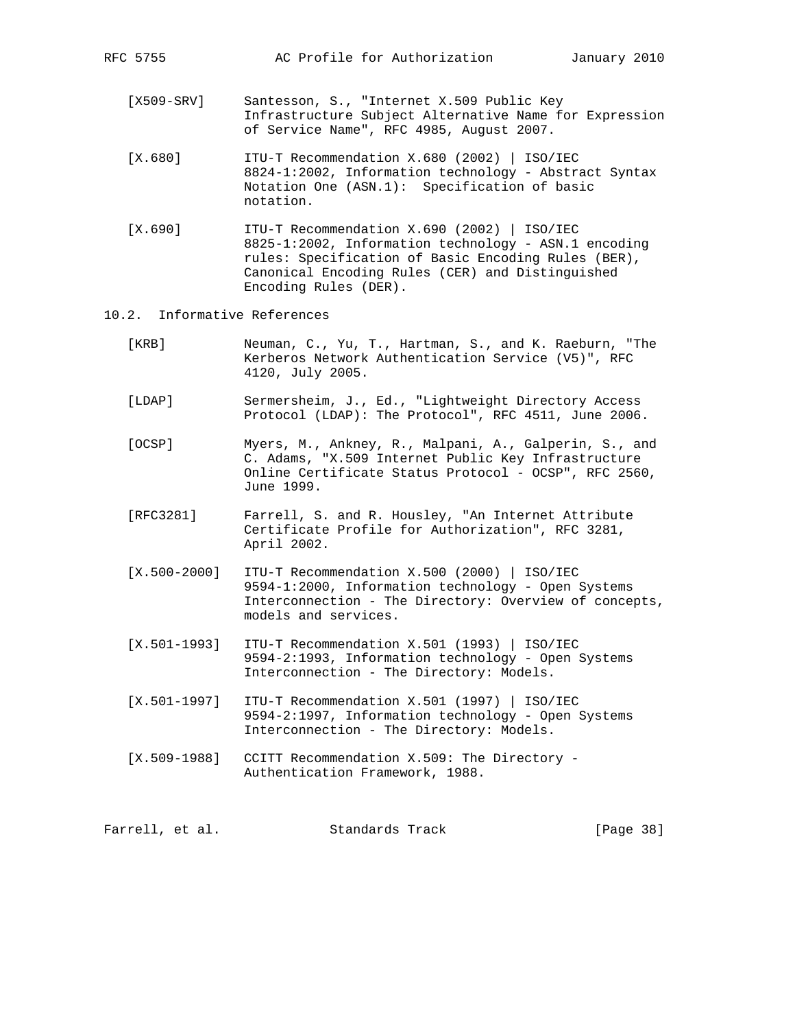- [X509-SRV] Santesson, S., "Internet X.509 Public Key Infrastructure Subject Alternative Name for Expression of Service Name", RFC 4985, August 2007.
- [X.680] ITU-T Recommendation X.680 (2002) | ISO/IEC 8824-1:2002, Information technology - Abstract Syntax Notation One (ASN.1): Specification of basic notation.
- [X.690] ITU-T Recommendation X.690 (2002) | ISO/IEC 8825-1:2002, Information technology - ASN.1 encoding rules: Specification of Basic Encoding Rules (BER), Canonical Encoding Rules (CER) and Distinguished Encoding Rules (DER).
- 10.2. Informative References
	- [KRB] Neuman, C., Yu, T., Hartman, S., and K. Raeburn, "The Kerberos Network Authentication Service (V5)", RFC 4120, July 2005.
	- [LDAP] Sermersheim, J., Ed., "Lightweight Directory Access Protocol (LDAP): The Protocol", RFC 4511, June 2006.
	- [OCSP] Myers, M., Ankney, R., Malpani, A., Galperin, S., and C. Adams, "X.509 Internet Public Key Infrastructure Online Certificate Status Protocol - OCSP", RFC 2560, June 1999.
	- [RFC3281] Farrell, S. and R. Housley, "An Internet Attribute Certificate Profile for Authorization", RFC 3281, April 2002.
	- [X.500-2000] ITU-T Recommendation X.500 (2000) | ISO/IEC 9594-1:2000, Information technology - Open Systems Interconnection - The Directory: Overview of concepts, models and services.
	- [X.501-1993] ITU-T Recommendation X.501 (1993) | ISO/IEC 9594-2:1993, Information technology - Open Systems Interconnection - The Directory: Models.
	- [X.501-1997] ITU-T Recommendation X.501 (1997) | ISO/IEC 9594-2:1997, Information technology - Open Systems Interconnection - The Directory: Models.
	- [X.509-1988] CCITT Recommendation X.509: The Directory Authentication Framework, 1988.

Farrell, et al. Standards Track [Page 38]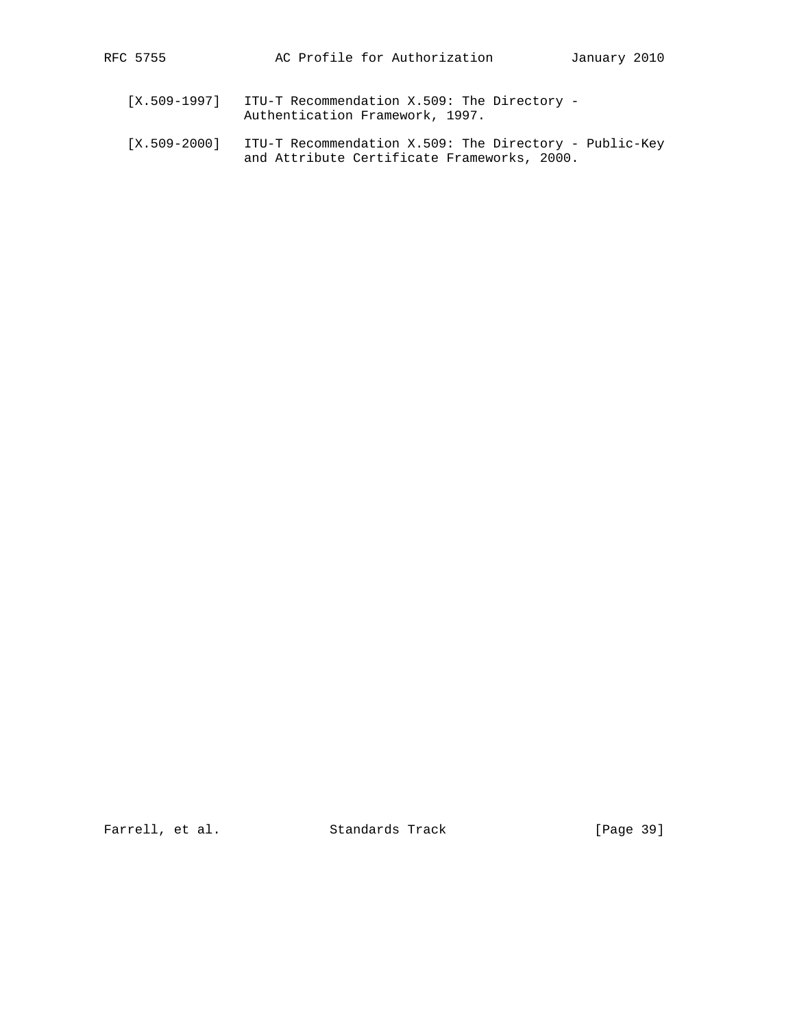- [X.509-1997] ITU-T Recommendation X.509: The Directory Authentication Framework, 1997.
- [X.509-2000] ITU-T Recommendation X.509: The Directory Public-Key and Attribute Certificate Frameworks, 2000.

Farrell, et al. Standards Track [Page 39]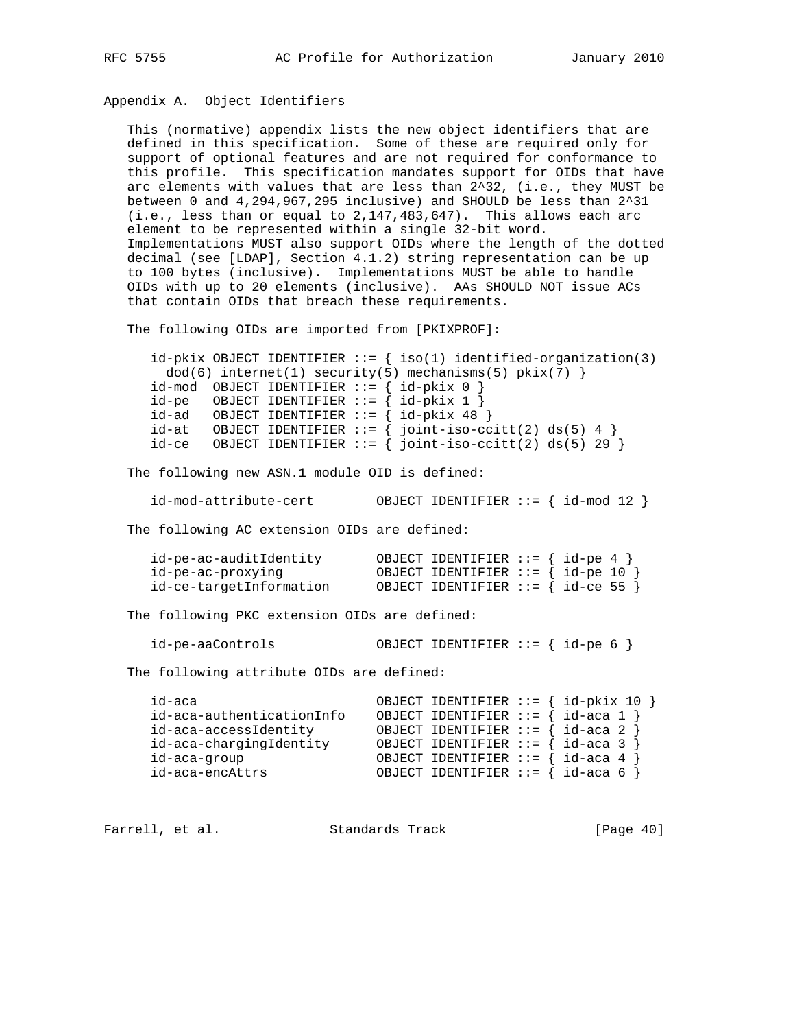# Appendix A. Object Identifiers

 This (normative) appendix lists the new object identifiers that are defined in this specification. Some of these are required only for support of optional features and are not required for conformance to this profile. This specification mandates support for OIDs that have arc elements with values that are less than 2^32, (i.e., they MUST be between 0 and 4,294,967,295 inclusive) and SHOULD be less than 2^31  $(i.e.,$  less than or equal to  $2,147,483,647$ . This allows each arc element to be represented within a single 32-bit word. Implementations MUST also support OIDs where the length of the dotted decimal (see [LDAP], Section 4.1.2) string representation can be up to 100 bytes (inclusive). Implementations MUST be able to handle OIDs with up to 20 elements (inclusive). AAs SHOULD NOT issue ACs that contain OIDs that breach these requirements.

The following OIDs are imported from [PKIXPROF]:

|                                                | $id-pkix$ OBJECT IDENTIFIER ::= $\{ iso(1)$ identified-organization(3) |
|------------------------------------------------|------------------------------------------------------------------------|
|                                                | $dod(6)$ internet(1) security(5) mechanisms(5) pkix(7) }               |
| $id-mod$ OBJECT IDENTIFIER ::= { $id-pkix$ 0 } |                                                                        |
| $id-pe$ OBJECT IDENTIFIER ::= { $id-pkix 1$ }  |                                                                        |
| $id-ad$ OBJECT IDENTIFIER ::= { $id-pkix 48$ } |                                                                        |
|                                                | $id-at$ OBJECT IDENTIFIER ::= { joint-iso-ccitt(2) ds(5) 4 }           |
|                                                | $id-ce$ OBJECT IDENTIFIER ::= { joint-iso-ccitt(2) ds(5) 29 }          |

The following new ASN.1 module OID is defined:

id-mod-attribute-cert OBJECT IDENTIFIER ::= { id-mod 12 }

The following AC extension OIDs are defined:

| id-pe-ac-auditIdentity  | OBJECT IDENTIFIER ::= $\{ id-pe 4 \}$     |
|-------------------------|-------------------------------------------|
| id-pe-ac-proxyinq       | OBJECT IDENTIFIER ::= $\{ id-pe 10 \}$    |
| id-ce-targetInformation | OBJECT IDENTIFIER ::= $\{ id$ -ce 55 $\}$ |

The following PKC extension OIDs are defined:

| id-pe-aaControls | OBJECT IDENTIFIER ::= $\{ id-pe 6 \}$ |  |  |
|------------------|---------------------------------------|--|--|
|                  |                                       |  |  |

The following attribute OIDs are defined:

| id-aca                    | OBJECT IDENTIFIER ::= $\{ id-pkix 10 \}$  |
|---------------------------|-------------------------------------------|
| id-aca-authenticationInfo | OBJECT IDENTIFIER ::= $\{ id$ -aca 1 $\}$ |
| id-aca-accessIdentity     | OBJECT IDENTIFIER ::= $\{ id - aca 2 \}$  |
| id-aca-chargingIdentity   | OBJECT IDENTIFIER ::= $\{ id - aca 3 \}$  |
| id-aca-group              | OBJECT IDENTIFIER ::= $\{ id - aca 4 \}$  |
| id-aca-encAttrs           | OBJECT IDENTIFIER ::= $\{ id - aca 6 \}$  |

Farrell, et al. Standards Track [Page 40]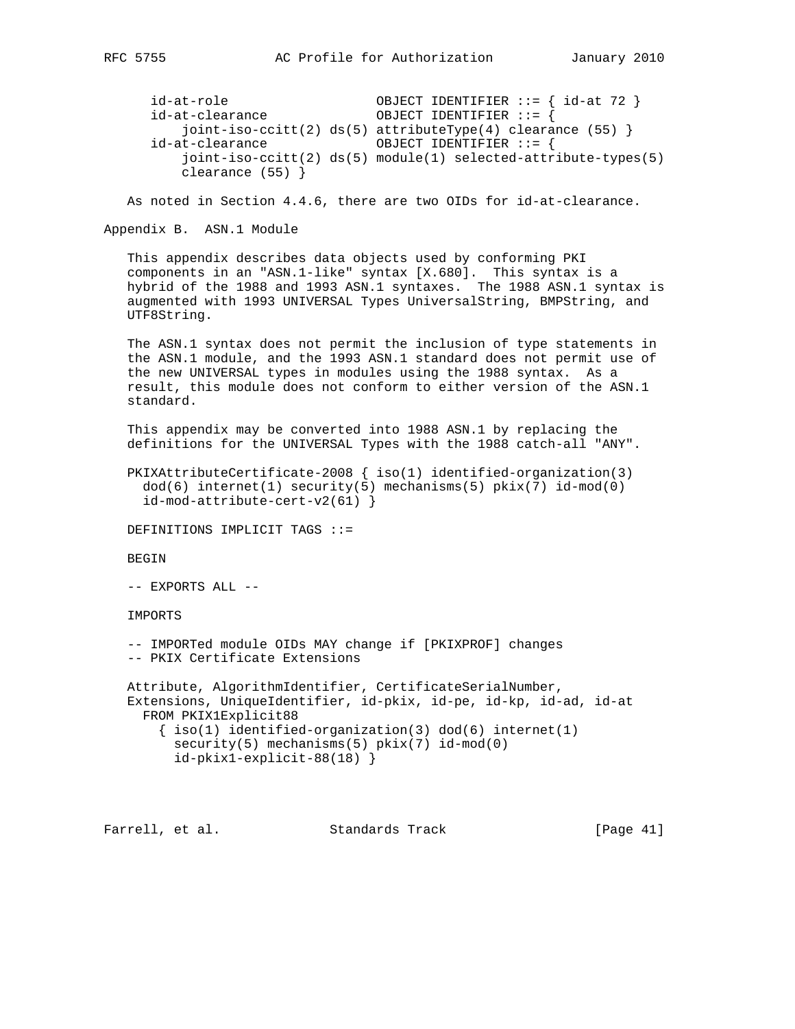```
 id-at-role OBJECT IDENTIFIER ::= { id-at 72 }
id-at-clearance
    joint-iso-ccitt(2) ds(5) attributeType(4) clearance (55) }
 id-at-clearance OBJECT IDENTIFIER ::= {
    joint-iso-ccitt(2) ds(5) module(1) selected-attribute-types(5)
    clearance (55) }
```
As noted in Section 4.4.6, there are two OIDs for id-at-clearance.

Appendix B. ASN.1 Module

 This appendix describes data objects used by conforming PKI components in an "ASN.1-like" syntax [X.680]. This syntax is a hybrid of the 1988 and 1993 ASN.1 syntaxes. The 1988 ASN.1 syntax is augmented with 1993 UNIVERSAL Types UniversalString, BMPString, and UTF8String.

 The ASN.1 syntax does not permit the inclusion of type statements in the ASN.1 module, and the 1993 ASN.1 standard does not permit use of the new UNIVERSAL types in modules using the 1988 syntax. As a result, this module does not conform to either version of the ASN.1 standard.

 This appendix may be converted into 1988 ASN.1 by replacing the definitions for the UNIVERSAL Types with the 1988 catch-all "ANY".

```
 PKIXAttributeCertificate-2008 { iso(1) identified-organization(3)
  dod(6) internet(1) security(5) mechanisms(5) pkix(7) id-mod(0)
  id-mod-attribute-cert-v2(61) }
```
DEFINITIONS IMPLICIT TAGS ::=

BEGIN

-- EXPORTS ALL --

IMPORTS

 -- IMPORTed module OIDs MAY change if [PKIXPROF] changes -- PKIX Certificate Extensions

 Attribute, AlgorithmIdentifier, CertificateSerialNumber, Extensions, UniqueIdentifier, id-pkix, id-pe, id-kp, id-ad, id-at FROM PKIX1Explicit88  $\{ iso(1)$  identified-organization(3) dod(6) internet(1) security(5) mechanisms(5) pkix(7) id-mod(0)

```
 id-pkix1-explicit-88(18) }
```
Farrell, et al. Standards Track [Page 41]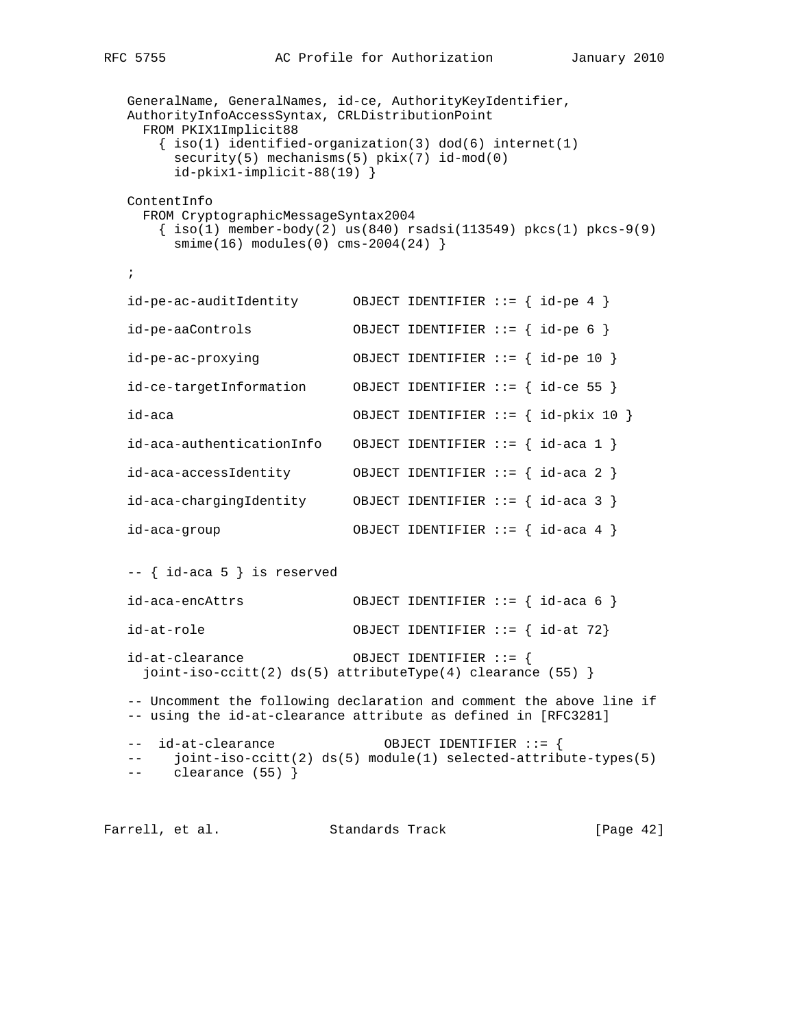```
 GeneralName, GeneralNames, id-ce, AuthorityKeyIdentifier,
 AuthorityInfoAccessSyntax, CRLDistributionPoint
  FROM PKIX1Implicit88
   \{ iso(1) <i>identified-organization(3) <math> dod(6) <i>internet(1)</i> security(5) mechanisms(5) pkix(7) id-mod(0)
      id-pkix1-implicit-88(19) }
 ContentInfo
  FROM CryptographicMessageSyntax2004
   \{ iso(1) member-body(2) us(840) rsadsi(113549) pkcs(1) pkcs-9(9)
     smin(e(16) modules(0) cms-2004(24)}
 ;
 id-pe-ac-auditIdentity OBJECT IDENTIFIER ::= { id-pe 4 }
 id-pe-aaControls OBJECT IDENTIFIER ::= { id-pe 6 }
 id-pe-ac-proxying OBJECT IDENTIFIER ::= { id-pe 10 }
 id-ce-targetInformation OBJECT IDENTIFIER ::= { id-ce 55 }
 id-aca OBJECT IDENTIFIER ::= { id-pkix 10 }
 id-aca-authenticationInfo OBJECT IDENTIFIER ::= { id-aca 1 }
 id-aca-accessIdentity OBJECT IDENTIFIER ::= { id-aca 2 }
 id-aca-chargingIdentity OBJECT IDENTIFIER ::= { id-aca 3 }
 id-aca-group OBJECT IDENTIFIER ::= { id-aca 4 }
 -- { id-aca 5 } is reserved
 id-aca-encAttrs OBJECT IDENTIFIER ::= { id-aca 6 }
 id-at-role OBJECT IDENTIFIER ::= { id-at 72}
 id-at-clearance OBJECT IDENTIFIER ::= {
  joint-iso-ccitt(2) ds(5) attributeType(4) clearance (55) }
 -- Uncomment the following declaration and comment the above line if
 -- using the id-at-clearance attribute as defined in [RFC3281]
 -- id-at-clearance OBJECT IDENTIFIER ::= {
 -- joint-iso-ccitt(2) ds(5) module(1) selected-attribute-types(5)
 -- clearance (55) }
```
Farrell, et al. Standards Track [Page 42]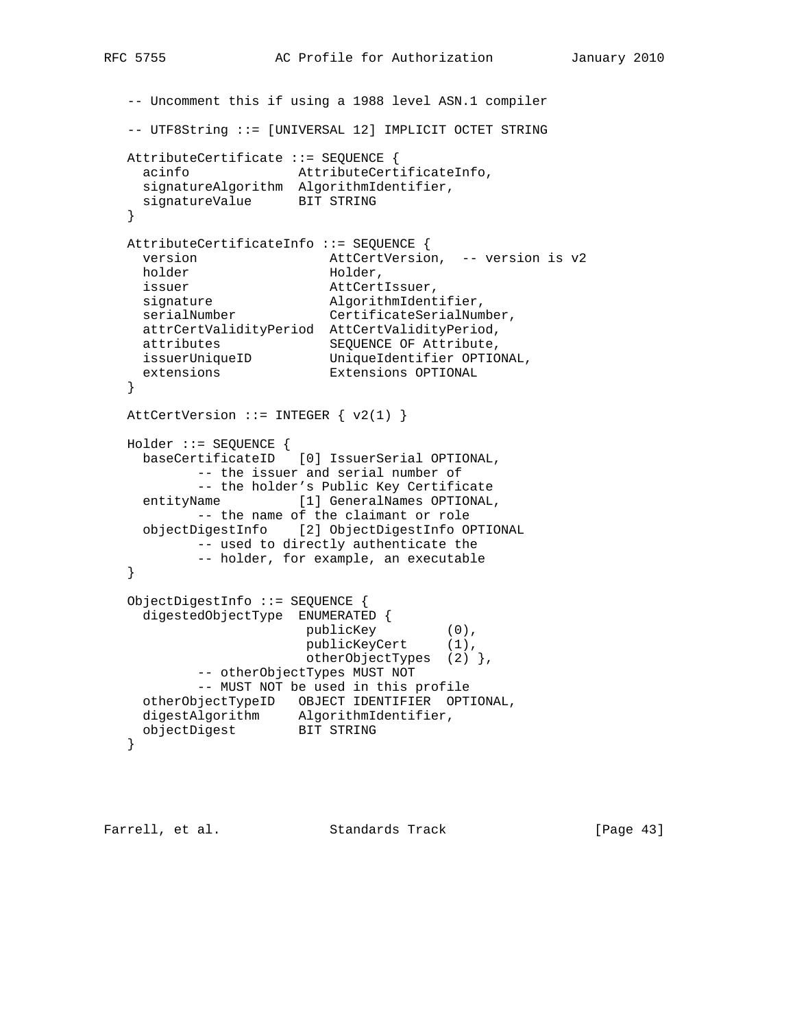```
 -- Uncomment this if using a 1988 level ASN.1 compiler
   -- UTF8String ::= [UNIVERSAL 12] IMPLICIT OCTET STRING
   AttributeCertificate ::= SEQUENCE {
    acinfo AttributeCertificateInfo,
    signatureAlgorithm AlgorithmIdentifier,
    signatureValue BIT STRING
   }
   AttributeCertificateInfo ::= SEQUENCE {
   version attCertVersion, -- version is v2<br>holder Holder,
holder Holder,
 issuer AttCertIssuer,
signature algorithmIdentifier,
serialNumber CertificateSerialNumber,
    attrCertValidityPeriod AttCertValidityPeriod,
 attributes SEQUENCE OF Attribute,
 issuerUniqueID UniqueIdentifier OPTIONAL,
 extensions Extensions OPTIONAL
   }
  AttCertVersion ::= INTEGER \{ v2(1) \} Holder ::= SEQUENCE {
     baseCertificateID [0] IssuerSerial OPTIONAL,
           -- the issuer and serial number of
           -- the holder's Public Key Certificate
    entityName [1] GeneralNames OPTIONAL,
           -- the name of the claimant or role
     objectDigestInfo [2] ObjectDigestInfo OPTIONAL
          -- used to directly authenticate the
           -- holder, for example, an executable
   }
   ObjectDigestInfo ::= SEQUENCE {
     digestedObjectType ENUMERATED {
                       publicKey (0),
                       publicKeyCert (1),
                       otherObjectTypes (2) },
           -- otherObjectTypes MUST NOT
           -- MUST NOT be used in this profile
     otherObjectTypeID OBJECT IDENTIFIER OPTIONAL,
 digestAlgorithm AlgorithmIdentifier,
 objectDigest BIT STRING
   }
```
Farrell, et al. Standards Track [Page 43]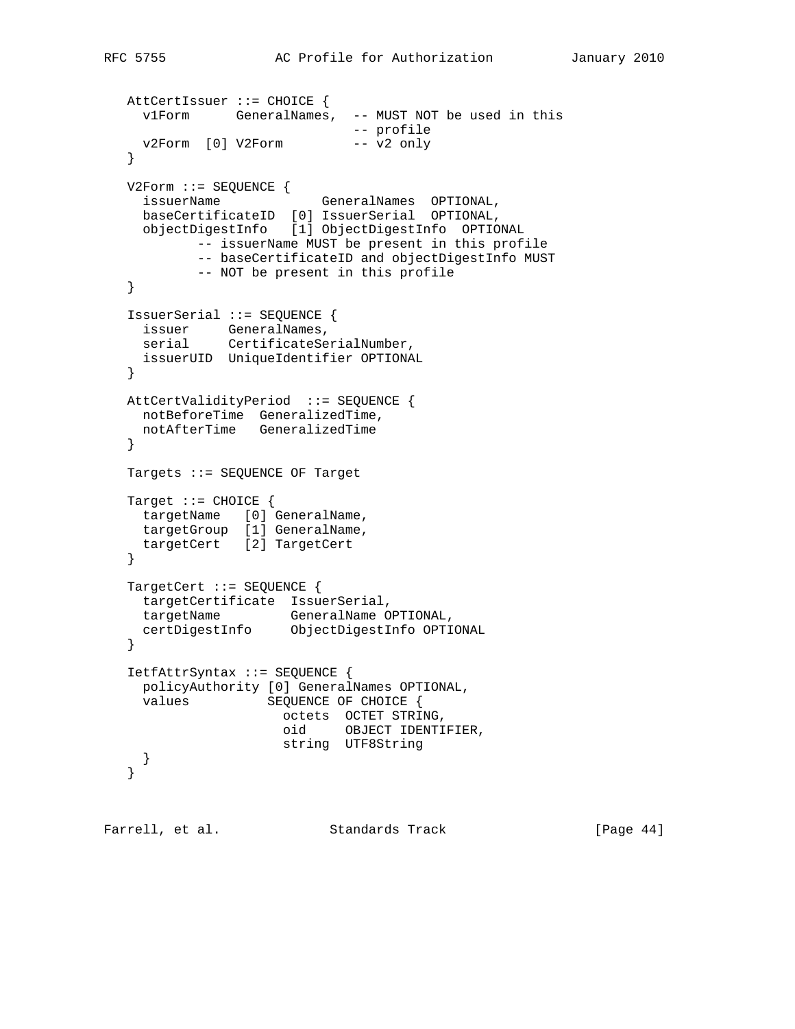```
 AttCertIssuer ::= CHOICE {
    v1Form GeneralNames, -- MUST NOT be used in this
 -- profile
v2Form [0] V2Form -- v2 only
   }
   V2Form ::= SEQUENCE {
   issuerName (CeneralNames OPTIONAL,
     baseCertificateID [0] IssuerSerial OPTIONAL,
     objectDigestInfo [1] ObjectDigestInfo OPTIONAL
           -- issuerName MUST be present in this profile
           -- baseCertificateID and objectDigestInfo MUST
           -- NOT be present in this profile
   }
   IssuerSerial ::= SEQUENCE {
    issuer GeneralNames,
   serial CertificateSerialNumber,
    issuerUID UniqueIdentifier OPTIONAL
   }
   AttCertValidityPeriod ::= SEQUENCE {
    notBeforeTime GeneralizedTime,
    notAfterTime GeneralizedTime
   }
   Targets ::= SEQUENCE OF Target
   Target ::= CHOICE {
   targetName [0] GeneralName,
    targetGroup [1] GeneralName,
    targetCert [2] TargetCert
   }
   TargetCert ::= SEQUENCE {
    targetCertificate IssuerSerial,
 targetName GeneralName OPTIONAL,
 certDigestInfo ObjectDigestInfo OPTIONAL
   }
   IetfAttrSyntax ::= SEQUENCE {
    policyAuthority [0] GeneralNames OPTIONAL,
     values SEQUENCE OF CHOICE {
                    octets OCTET STRING,
                     oid OBJECT IDENTIFIER,
                     string UTF8String
    }
   }
```
Farrell, et al. Standards Track [Page 44]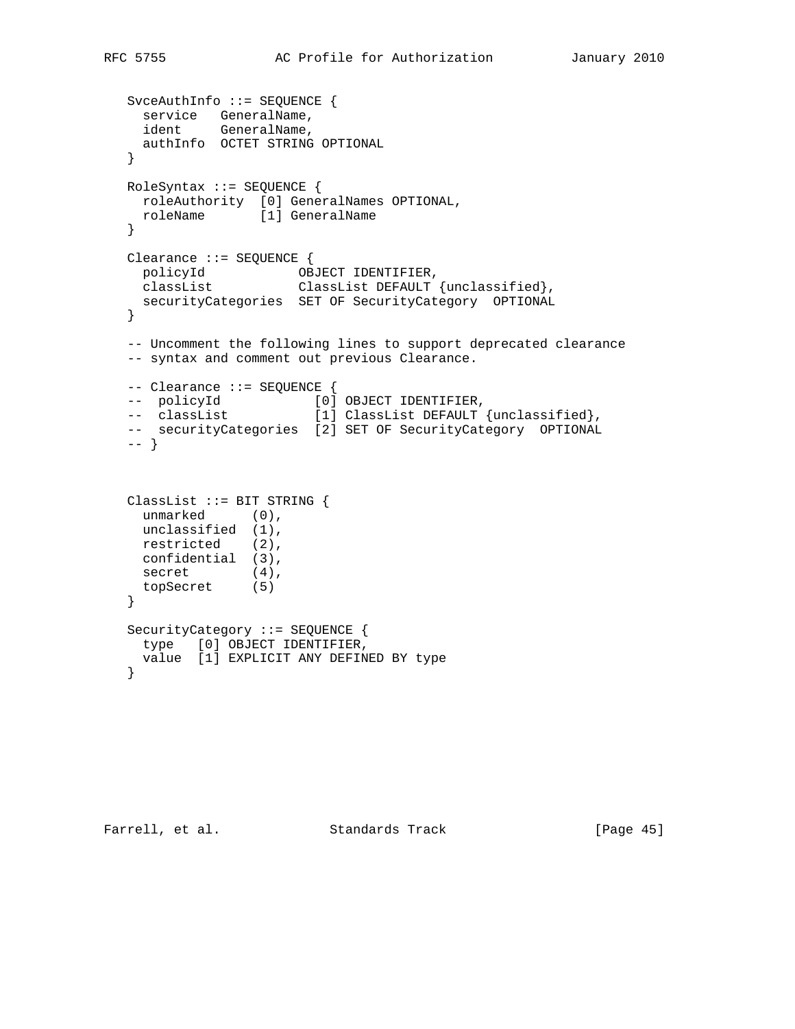```
 SvceAuthInfo ::= SEQUENCE {
 service GeneralName,
 ident GeneralName,
 authInfo OCTET STRING OPTIONAL
   }
   RoleSyntax ::= SEQUENCE {
   roleAuthority [0] GeneralNames OPTIONAL,
    roleName [1] GeneralName
   }
   Clearance ::= SEQUENCE {
 policyId OBJECT IDENTIFIER,
 classList ClassList DEFAULT {unclassified},
   securityCategories SET OF SecurityCategory OPTIONAL
   }
   -- Uncomment the following lines to support deprecated clearance
   -- syntax and comment out previous Clearance.
   -- Clearance ::= SEQUENCE {
-- policyId [0] OBJECT IDENTIFIER,
 -- classList [1] ClassList DEFAULT {unclassified},
  -- securityCategories [2] SET OF SecurityCategory OPTIONAL
   -- }
   ClassList ::= BIT STRING {
   unmarked (0),
    unclassified (1),
    restricted (2),
    confidential (3),
secret (4),
 topSecret (5)
   }
   SecurityCategory ::= SEQUENCE {
    type [0] OBJECT IDENTIFIER,
    value [1] EXPLICIT ANY DEFINED BY type
   }
```
Farrell, et al. Standards Track [Page 45]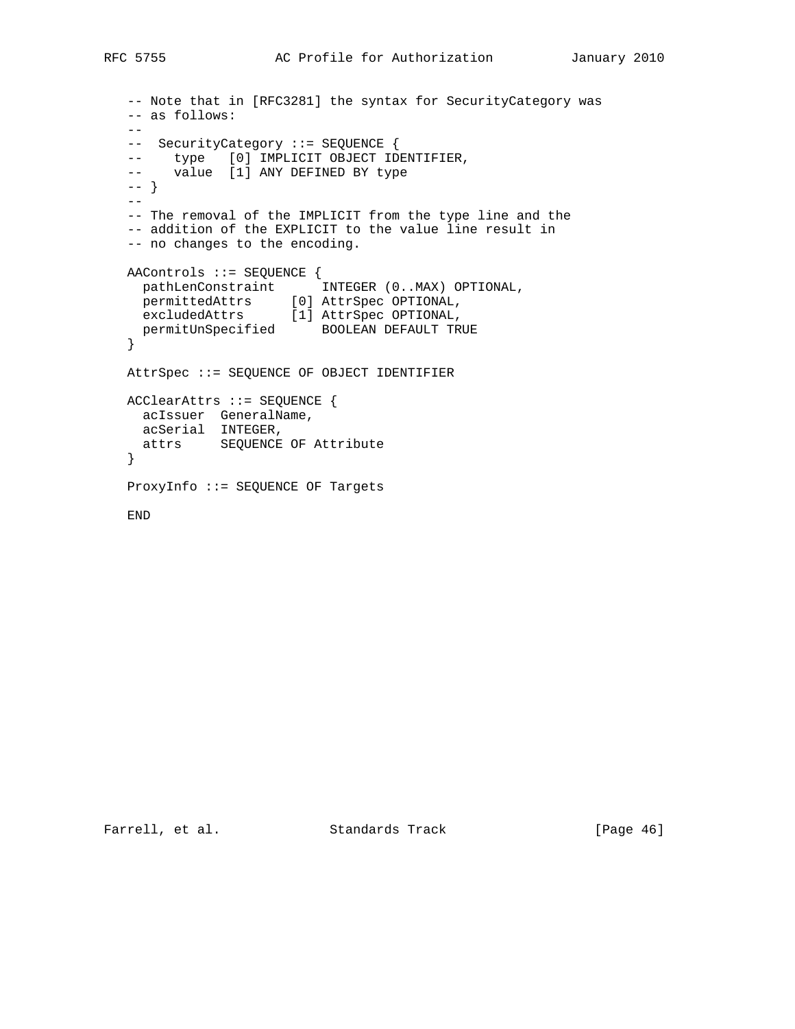```
 -- Note that in [RFC3281] the syntax for SecurityCategory was
   -- as follows:
  - -- SecurityCategory ::= SEQUENCE {
 -- type [0] IMPLICIT OBJECT IDENTIFIER,
 -- value [1] ANY DEFINED BY type
   -- }
  -\, - -- The removal of the IMPLICIT from the type line and the
   -- addition of the EXPLICIT to the value line result in
   -- no changes to the encoding.
   AAControls ::= SEQUENCE {
 pathLenConstraint INTEGER (0..MAX) OPTIONAL,
 permittedAttrs [0] AttrSpec OPTIONAL,
 excludedAttrs [1] AttrSpec OPTIONAL,
    permitUnSpecified BOOLEAN DEFAULT TRUE
   }
   AttrSpec ::= SEQUENCE OF OBJECT IDENTIFIER
   ACClearAttrs ::= SEQUENCE {
    acIssuer GeneralName,
    acSerial INTEGER,
    attrs SEQUENCE OF Attribute
   }
   ProxyInfo ::= SEQUENCE OF Targets
   END
```
Farrell, et al. Standards Track [Page 46]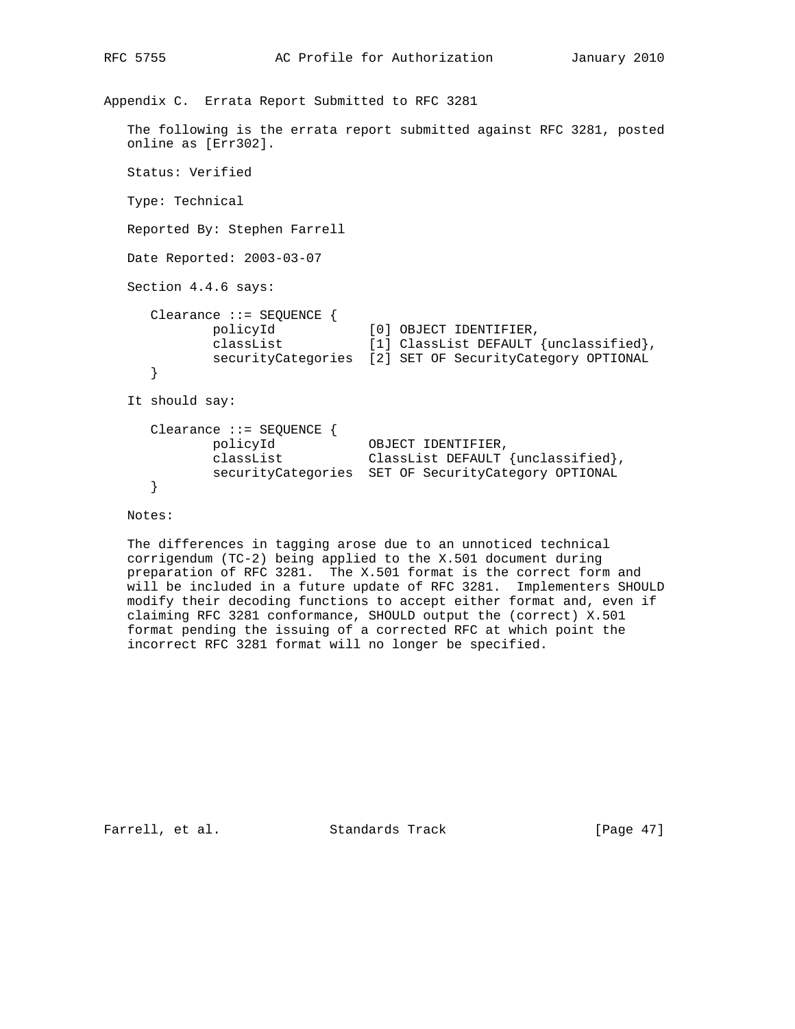```
Appendix C. Errata Report Submitted to RFC 3281
   The following is the errata report submitted against RFC 3281, posted
   online as [Err302].
   Status: Verified
   Type: Technical
   Reported By: Stephen Farrell
   Date Reported: 2003-03-07
   Section 4.4.6 says:
      Clearance ::= SEQUENCE {
 policyId [0] OBJECT IDENTIFIER,
 classList [1] ClassList DEFAULT {unclassified},
            securityCategories [2] SET OF SecurityCategory OPTIONAL
      }
   It should say:
      Clearance ::= SEQUENCE {
 policyId OBJECT IDENTIFIER,
 classList ClassList DEFAULT {unclassified},
 securityCategories SET OF SecurityCategory OPTIONAL
      }
```
Notes:

 The differences in tagging arose due to an unnoticed technical corrigendum (TC-2) being applied to the X.501 document during preparation of RFC 3281. The X.501 format is the correct form and will be included in a future update of RFC 3281. Implementers SHOULD modify their decoding functions to accept either format and, even if claiming RFC 3281 conformance, SHOULD output the (correct) X.501 format pending the issuing of a corrected RFC at which point the incorrect RFC 3281 format will no longer be specified.

Farrell, et al. Standards Track [Page 47]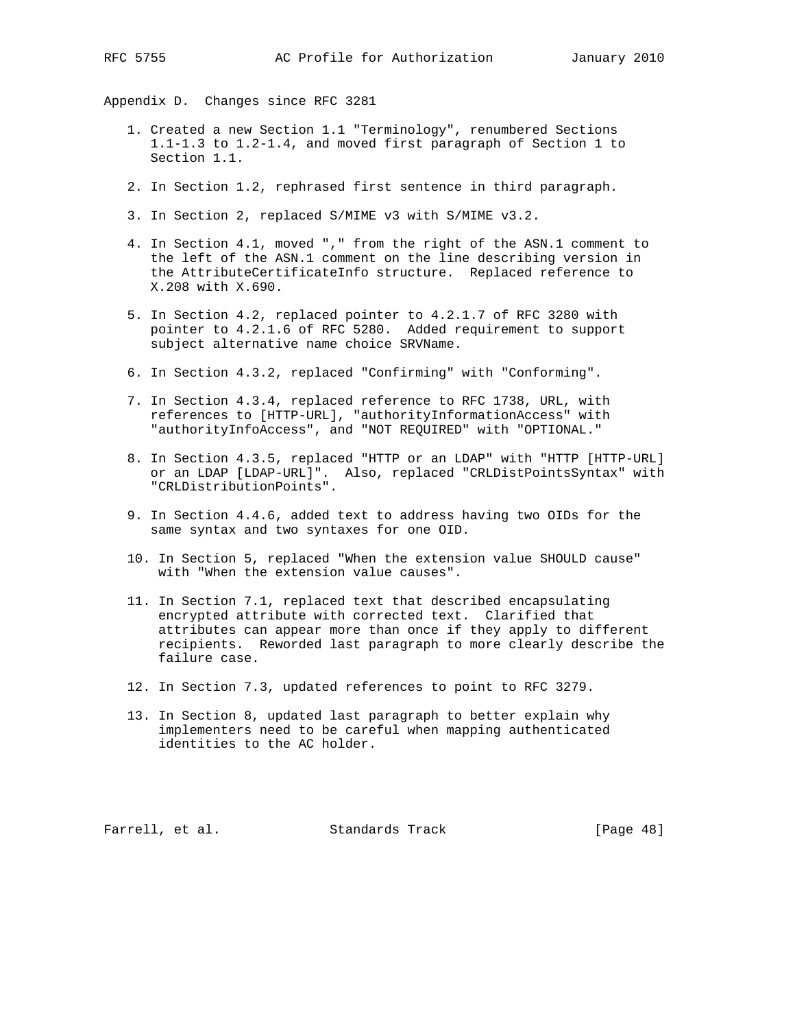Appendix D. Changes since RFC 3281

- 1. Created a new Section 1.1 "Terminology", renumbered Sections 1.1-1.3 to 1.2-1.4, and moved first paragraph of Section 1 to Section 1.1.
- 2. In Section 1.2, rephrased first sentence in third paragraph.
- 3. In Section 2, replaced S/MIME v3 with S/MIME v3.2.
- 4. In Section 4.1, moved "," from the right of the ASN.1 comment to the left of the ASN.1 comment on the line describing version in the AttributeCertificateInfo structure. Replaced reference to X.208 with X.690.
- 5. In Section 4.2, replaced pointer to 4.2.1.7 of RFC 3280 with pointer to 4.2.1.6 of RFC 5280. Added requirement to support subject alternative name choice SRVName.
- 6. In Section 4.3.2, replaced "Confirming" with "Conforming".
- 7. In Section 4.3.4, replaced reference to RFC 1738, URL, with references to [HTTP-URL], "authorityInformationAccess" with "authorityInfoAccess", and "NOT REQUIRED" with "OPTIONAL."
- 8. In Section 4.3.5, replaced "HTTP or an LDAP" with "HTTP [HTTP-URL] or an LDAP [LDAP-URL]". Also, replaced "CRLDistPointsSyntax" with "CRLDistributionPoints".
- 9. In Section 4.4.6, added text to address having two OIDs for the same syntax and two syntaxes for one OID.
- 10. In Section 5, replaced "When the extension value SHOULD cause" with "When the extension value causes".
- 11. In Section 7.1, replaced text that described encapsulating encrypted attribute with corrected text. Clarified that attributes can appear more than once if they apply to different recipients. Reworded last paragraph to more clearly describe the failure case.
- 12. In Section 7.3, updated references to point to RFC 3279.
- 13. In Section 8, updated last paragraph to better explain why implementers need to be careful when mapping authenticated identities to the AC holder.

Farrell, et al. Standards Track [Page 48]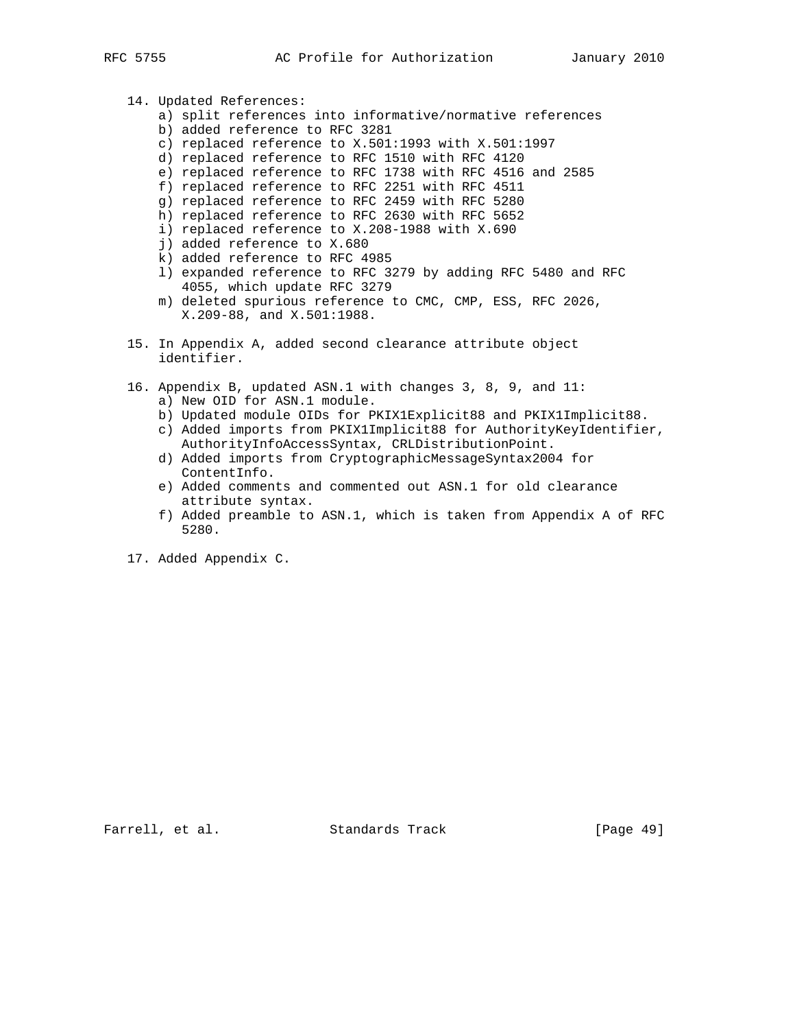- 14. Updated References: a) split references into informative/normative references b) added reference to RFC 3281 c) replaced reference to X.501:1993 with X.501:1997 d) replaced reference to RFC 1510 with RFC 4120 e) replaced reference to RFC 1738 with RFC 4516 and 2585 f) replaced reference to RFC 2251 with RFC 4511 g) replaced reference to RFC 2459 with RFC 5280 h) replaced reference to RFC 2630 with RFC 5652 i) replaced reference to X.208-1988 with X.690 j) added reference to X.680 k) added reference to RFC 4985 l) expanded reference to RFC 3279 by adding RFC 5480 and RFC 4055, which update RFC 3279
	- m) deleted spurious reference to CMC, CMP, ESS, RFC 2026, X.209-88, and X.501:1988.
- 15. In Appendix A, added second clearance attribute object identifier.
- 16. Appendix B, updated ASN.1 with changes 3, 8, 9, and 11: a) New OID for ASN.1 module.
	- b) Updated module OIDs for PKIX1Explicit88 and PKIX1Implicit88.
	- c) Added imports from PKIX1Implicit88 for AuthorityKeyIdentifier, AuthorityInfoAccessSyntax, CRLDistributionPoint.
	- d) Added imports from CryptographicMessageSyntax2004 for ContentInfo.
	- e) Added comments and commented out ASN.1 for old clearance attribute syntax.
	- f) Added preamble to ASN.1, which is taken from Appendix A of RFC 5280.
- 17. Added Appendix C.

Farrell, et al. Standards Track [Page 49]